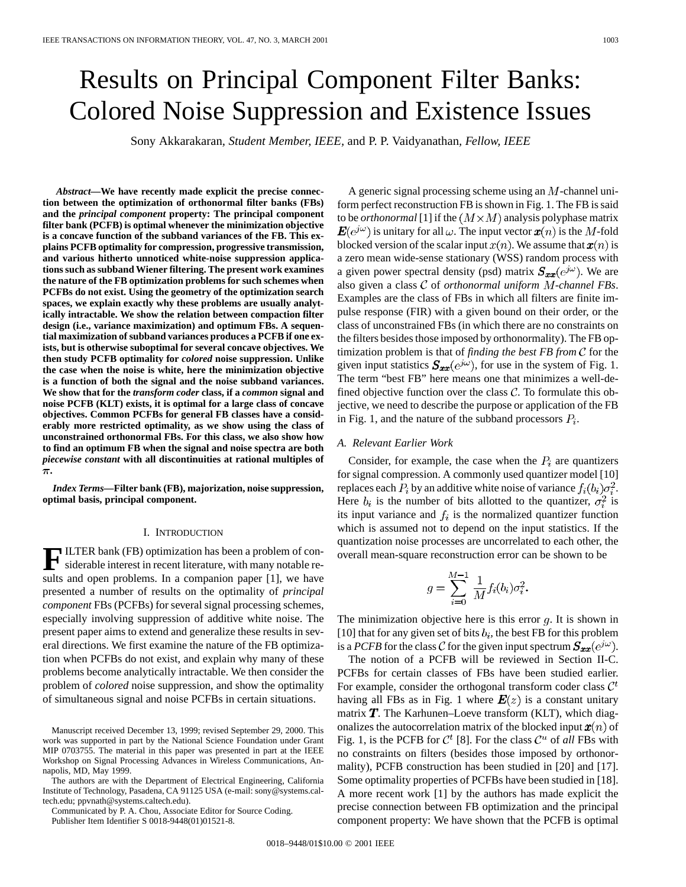# Results on Principal Component Filter Banks: Colored Noise Suppression and Existence Issues

Sony Akkarakaran*, Student Member, IEEE,* and P. P. Vaidyanathan*, Fellow, IEEE*

*Abstract—***We have recently made explicit the precise connection between the optimization of orthonormal filter banks (FBs) and the** *principal component* **property: The principal component filter bank (PCFB) is optimal whenever the minimization objective is a concave function of the subband variances of the FB. This explains PCFB optimality for compression, progressive transmission, and various hitherto unnoticed white-noise suppression applications such as subband Wiener filtering. The present work examines the nature of the FB optimization problems for such schemes when PCFBs do not exist. Using the geometry of the optimization search spaces, we explain exactly why these problems are usually analytically intractable. We show the relation between compaction filter design (i.e., variance maximization) and optimum FBs. A sequential maximization of subband variances produces a PCFB if one exists, but is otherwise suboptimal for several concave objectives. We then study PCFB optimality for** *colored* **noise suppression. Unlike the case when the noise is white, here the minimization objective is a function of both the signal and the noise subband variances. We show that for the** *transform coder* **class, if a** *common* **signal and noise PCFB (KLT) exists, it is optimal for a large class of concave objectives. Common PCFBs for general FB classes have a considerably more restricted optimality, as we show using the class of unconstrained orthonormal FBs. For this class, we also show how to find an optimum FB when the signal and noise spectra are both** *piecewise constant* **with all discontinuities at rational multiples of .**

*Index Terms—***Filter bank (FB), majorization, noise suppression, optimal basis, principal component.**

#### I. INTRODUCTION

**FILTER bank (FB) optimization has been a problem of con-<br>siderable interest in recent literation of the state of the state of the state of the state of the state of the state of the state of the state of the state of the** siderable interest in recent literature, with many notable results and open problems. In a companion paper [1], we have presented a number of results on the optimality of *principal component* FBs (PCFBs) for several signal processing schemes, especially involving suppression of additive white noise. The present paper aims to extend and generalize these results in several directions. We first examine the nature of the FB optimization when PCFBs do not exist, and explain why many of these problems become analytically intractable. We then consider the problem of *colored* noise suppression, and show the optimality of simultaneous signal and noise PCFBs in certain situations.

The authors are with the Department of Electrical Engineering, California Institute of Technology, Pasadena, CA 91125 USA (e-mail: sony@systems.caltech.edu; ppvnath@systems.caltech.edu).

Communicated by P. A. Chou, Associate Editor for Source Coding. Publisher Item Identifier S 0018-9448(01)01521-8.

A generic signal processing scheme using an  $M$ -channel uniform perfect reconstruction FB is shown in Fig. 1. The FB is said to be *orthonormal* [1] if the  $(M \times M)$  analysis polyphase matrix  $\mathbf{E}(e^{j\omega})$  is unitary for all  $\omega$ . The input vector  $\mathbf{x}(n)$  is the M-fold blocked version of the scalar input  $x(n)$ . We assume that  $x(n)$  is a zero mean wide-sense stationary (WSS) random process with a given power spectral density (psd) matrix  $S_{xx}(e^{j\omega})$ . We are also given a class  $C$  of *orthonormal uniform M-channel FBs.* Examples are the class of FBs in which all filters are finite impulse response (FIR) with a given bound on their order, or the class of unconstrained FBs (in which there are no constraints on the filters besides those imposed by orthonormality). The FB optimization problem is that of *finding the best FB from*  $C$  for the given input statistics  $S_{xx}(e^{j\omega})$ , for use in the system of Fig. 1. The term "best FB" here means one that minimizes a well-defined objective function over the class  $C$ . To formulate this objective, we need to describe the purpose or application of the FB in Fig. 1, and the nature of the subband processors  $P_i$ .

# *A. Relevant Earlier Work*

Consider, for example, the case when the  $P_i$  are quantizers for signal compression. A commonly used quantizer model [10] replaces each  $P_i$  by an additive white noise of variance  $f_i(b_i)\sigma_i^2$ . Here  $b_i$  is the number of bits allotted to the quantizer,  $\sigma_i^2$  is its input variance and  $f_i$  is the normalized quantizer function which is assumed not to depend on the input statistics. If the quantization noise processes are uncorrelated to each other, the overall mean-square reconstruction error can be shown to be

$$
g = \sum_{i=0}^{M-1} \frac{1}{M} f_i(b_i) \sigma_i^2.
$$

The minimization objective here is this error  $q$ . It is shown in [10] that for any given set of bits  $b_i$ , the best FB for this problem is a *PCFB* for the class C for the given input spectrum  $S_{xx}(e^{j\omega})$ .

The notion of a PCFB will be reviewed in Section II-C. PCFBs for certain classes of FBs have been studied earlier. For example, consider the orthogonal transform coder class  $\mathcal{C}^t$ having all FBs as in Fig. 1 where  $E(z)$  is a constant unitary matrix  $T$ . The Karhunen–Loeve transform (KLT), which diagonalizes the autocorrelation matrix of the blocked input  $x(n)$  of Fig. 1, is the PCFB for  $\mathcal{C}^t$  [8]. For the class  $\mathcal{C}^u$  of *all* FBs with no constraints on filters (besides those imposed by orthonormality), PCFB construction has been studied in [20] and [17]. Some optimality properties of PCFBs have been studied in [18]. A more recent work [1] by the authors has made explicit the precise connection between FB optimization and the principal component property: We have shown that the PCFB is optimal

Manuscript received December 13, 1999; revised September 29, 2000. This work was supported in part by the National Science Foundation under Grant MIP 0703755. The material in this paper was presented in part at the IEEE Workshop on Signal Processing Advances in Wireless Communications, Annapolis, MD, May 1999.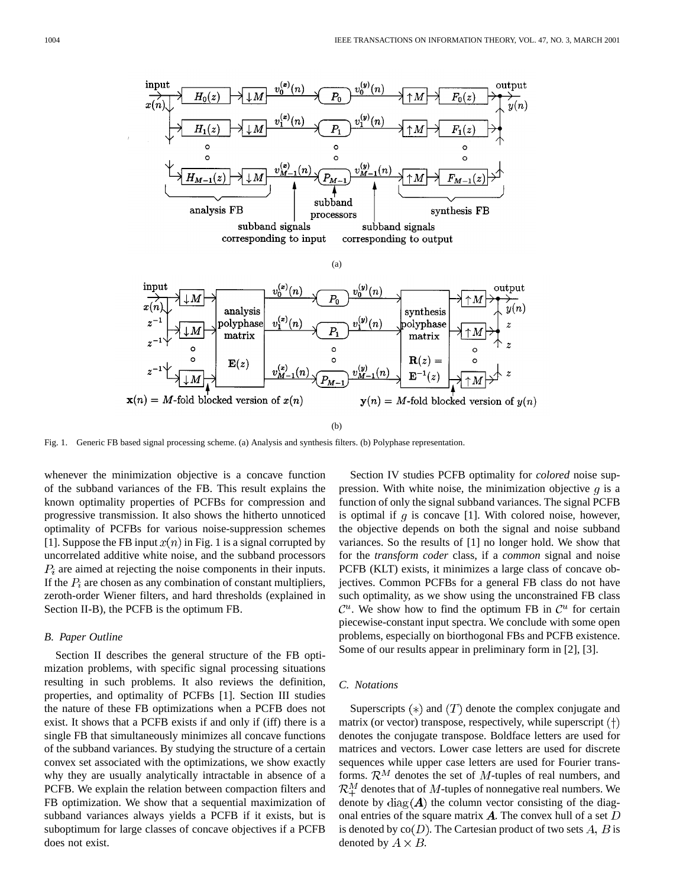

Fig. 1. Generic FB based signal processing scheme. (a) Analysis and synthesis filters. (b) Polyphase representation.

whenever the minimization objective is a concave function of the subband variances of the FB. This result explains the known optimality properties of PCFBs for compression and progressive transmission. It also shows the hitherto unnoticed optimality of PCFBs for various noise-suppression schemes [1]. Suppose the FB input  $x(n)$  in Fig. 1 is a signal corrupted by uncorrelated additive white noise, and the subband processors  $P_i$  are aimed at rejecting the noise components in their inputs. If the  $P_i$  are chosen as any combination of constant multipliers, zeroth-order Wiener filters, and hard thresholds (explained in Section II-B), the PCFB is the optimum FB.

# *B. Paper Outline*

Section II describes the general structure of the FB optimization problems, with specific signal processing situations resulting in such problems. It also reviews the definition, properties, and optimality of PCFBs [1]. Section III studies the nature of these FB optimizations when a PCFB does not exist. It shows that a PCFB exists if and only if (iff) there is a single FB that simultaneously minimizes all concave functions of the subband variances. By studying the structure of a certain convex set associated with the optimizations, we show exactly why they are usually analytically intractable in absence of a PCFB. We explain the relation between compaction filters and FB optimization. We show that a sequential maximization of subband variances always yields a PCFB if it exists, but is suboptimum for large classes of concave objectives if a PCFB does not exist.

Section IV studies PCFB optimality for *colored* noise suppression. With white noise, the minimization objective  $q$  is a function of only the signal subband variances. The signal PCFB is optimal if  $q$  is concave [1]. With colored noise, however, the objective depends on both the signal and noise subband variances. So the results of [1] no longer hold. We show that for the *transform coder* class, if a *common* signal and noise PCFB (KLT) exists, it minimizes a large class of concave objectives. Common PCFBs for a general FB class do not have such optimality, as we show using the unconstrained FB class  $\mathcal{C}^u$ . We show how to find the optimum FB in  $\mathcal{C}^u$  for certain piecewise-constant input spectra. We conclude with some open problems, especially on biorthogonal FBs and PCFB existence. Some of our results appear in preliminary form in [2], [3].

# *C. Notations*

Superscripts  $(*)$  and  $(T)$  denote the complex conjugate and matrix (or vector) transpose, respectively, while superscript  $(+)$ denotes the conjugate transpose. Boldface letters are used for matrices and vectors. Lower case letters are used for discrete sequences while upper case letters are used for Fourier transforms.  $\mathcal{R}^M$  denotes the set of  $M$ -tuples of real numbers, and  $\mathcal{R}_+^M$  denotes that of M-tuples of nonnegative real numbers. We denote by  $diag(\boldsymbol{A})$  the column vector consisting of the diagonal entries of the square matrix  $\boldsymbol{A}$ . The convex hull of a set D is denoted by  $co(D)$ . The Cartesian product of two sets A, B is denoted by  $A \times B$ .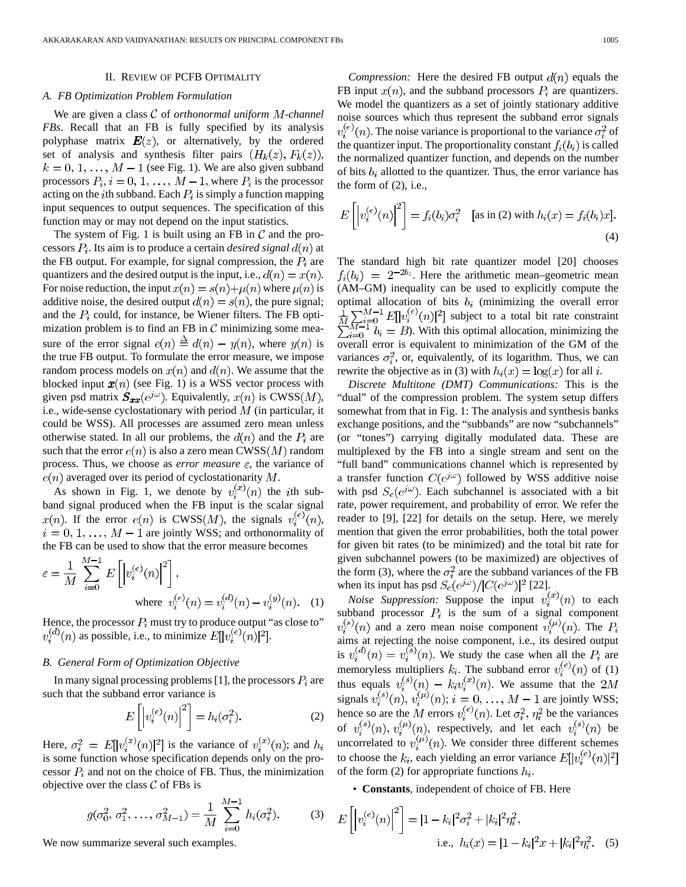# II. REVIEW OF PCFB OPTIMALITY

#### *A. FB Optimization Problem Formulation*

We are given a class C of *orthonormal uniform M-channel FBs*. Recall that an FB is fully specified by its analysis polyphase matrix  $\mathbf{E}(z)$ , or alternatively, by the ordered set of analysis and synthesis filter pairs  $(H_k(z), F_k(z)),$  $k = 0, 1, \ldots, M - 1$  (see Fig. 1). We are also given subband processors  $P_i$ ,  $i = 0, 1, ..., M - 1$ , where  $P_i$  is the processor acting on the *i*th subband. Each  $P_i$  is simply a function mapping input sequences to output sequences. The specification of this function may or may not depend on the input statistics.

The system of Fig. 1 is built using an FB in  $\mathcal C$  and the processors  $P_i$ . Its aim is to produce a certain *desired signal*  $d(n)$  at the FB output. For example, for signal compression, the  $P_i$  are quantizers and the desired output is the input, i.e.,  $d(n) = x(n)$ . For noise reduction, the input  $x(n) = s(n) + \mu(n)$  where  $\mu(n)$  is additive noise, the desired output  $d(n) = s(n)$ , the pure signal; and the  $P_i$  could, for instance, be Wiener filters. The FB optimization problem is to find an FB in  $\mathcal C$  minimizing some measure of the error signal  $e(n) \triangleq d(n) - y(n)$ , where  $y(n)$  is the true FB output. To formulate the error measure, we impose random process models on  $x(n)$  and  $d(n)$ . We assume that the blocked input  $x(n)$  (see Fig. 1) is a WSS vector process with given psd matrix  $S_{xx}(e^{j\omega})$ . Equivalently,  $x(n)$  is CWSS(M), i.e., wide-sense cyclostationary with period  $M$  (in particular, it could be WSS). All processes are assumed zero mean unless otherwise stated. In all our problems, the  $d(n)$  and the  $P_i$  are such that the error  $e(n)$  is also a zero mean CWSS  $(M)$  random process. Thus, we choose as *error measure*  $\varepsilon$ , the variance of  $e(n)$  averaged over its period of cyclostationarity M.

As shown in Fig. 1, we denote by  $v_i^{(x)}(n)$  the *i*th subband signal produced when the FB input is the scalar signal  $x(n)$ . If the error  $e(n)$  is CWSS(M), the signals  $v_i^{(e)}(n)$ ,  $i = 0, 1, ..., M - 1$  are jointly WSS; and orthonormality of the FB can be used to show that the error measure becomes

$$
\varepsilon = \frac{1}{M} \sum_{i=0}^{M-1} E\left[ \left| v_i^{(e)}(n) \right|^2 \right],
$$
  
where  $v_i^{(e)}(n) = v_i^{(d)}(n) - v_i^{(y)}(n)$ . (1)

Hence, the processor  $P_i$  must try to produce output "as close to"  $v_i^{(d)}(n)$  as possible, i.e., to minimize  $E[|v_i^{(e)}(n)|^2]$ .

# *B. General Form of Optimization Objective*

In many signal processing problems [1], the processors  $P_i$  are such that the subband error variance is

$$
E\left[\left|v_i^{(e)}(n)\right|^2\right] = h_i(\sigma_i^2). \tag{2}
$$

Here,  $\sigma_i^2 = E[|v_i^{(x)}(n)|^2]$  is the variance of  $v_i^{(x)}(n)$ ; and  $h_i$ is some function whose specification depends only on the processor  $P_i$  and not on the choice of FB. Thus, the minimization objective over the class  $C$  of FBs is

$$
g(\sigma_0^2, \sigma_1^2, \dots, \sigma_{M-1}^2) = \frac{1}{M} \sum_{i=0}^{M-1} h_i(\sigma_i^2).
$$
 (3)

We now summarize several such examples.

*Compression:* Here the desired FB output  $d(n)$  equals the FB input  $x(n)$ , and the subband processors  $P_i$  are quantizers. We model the quantizers as a set of jointly stationary additive noise sources which thus represent the subband error signals  $v_i^{(e)}(n)$ . The noise variance is proportional to the variance  $\sigma_i^2$  of the quantizer input. The proportionality constant  $f_i(b_i)$  is called the normalized quantizer function, and depends on the number of bits  $b_i$  allotted to the quantizer. Thus, the error variance has the form of (2), i.e.,

$$
E\left[\left|v_i^{(e)}(n)\right|^2\right] = f_i(b_i)\sigma_i^2 \quad \text{[as in (2) with } h_i(x) = f_i(b_i)x\text{]}.
$$
\n(4)

The standard high bit rate quantizer model [20] chooses  $f_i(b_i) = 2^{-2b_i}$ . Here the arithmetic mean–geometric mean (AM–GM) inequality can be used to explicitly compute the optimal allocation of bits  $b_i$  (minimizing the overall error subject to a total bit rate constraint ). With this optimal allocation, minimizing the overall error is equivalent to minimization of the GM of the variances  $\sigma_i^2$ , or, equivalently, of its logarithm. Thus, we can rewrite the objective as in (3) with  $h_i(x) = \log(x)$  for all *i*.

*Discrete Multitone (DMT) Communications:* This is the "dual" of the compression problem. The system setup differs somewhat from that in Fig. 1: The analysis and synthesis banks exchange positions, and the "subbands" are now "subchannels" (or "tones") carrying digitally modulated data. These are multiplexed by the FB into a single stream and sent on the "full band" communications channel which is represented by a transfer function  $C(e^{j\omega})$  followed by WSS additive noise with psd  $S_e(e^{j\omega})$ . Each subchannel is associated with a bit rate, power requirement, and probability of error. We refer the reader to [9], [22] for details on the setup. Here, we merely mention that given the error probabilities, both the total power for given bit rates (to be minimized) and the total bit rate for given subchannel powers (to be maximized) are objectives of the form (3), where the  $\sigma_i^2$  are the subband variances of the FB when its input has psd  $S_e(e^{j\omega})/|C(e^{j\omega})|^2$  [22].

*Noise Suppression:* Suppose the input  $v_i^{(x)}(n)$  to each subband processor  $P_i$  is the sum of a signal component  $v_i^{(s)}(n)$  and a zero mean noise component  $v_i^{(\mu)}(n)$ . The  $P_i$ aims at rejecting the noise component, i.e., its desired output is  $v_i^{(d)}(n) = v_i^{(s)}(n)$ . We study the case when all the  $P_i$  are memoryless multipliers  $k_i$ . The subband error  $v_i^{(e)}(n)$  of (1) thus equals  $v_i^{(s)}(n) - k_i v_i^{(x)}(n)$ . We assume that the signals  $v_i^{(s)}(n)$ ,  $v_i^{(\mu)}(n)$ ;  $i = 0, ..., M-1$  are jointly WSS; hence so are the M errors  $v_i^{(e)}(n)$ . Let  $\sigma_i^2$ ,  $\eta_i^2$  be the variances of  $v_i^{(s)}(n), v_i^{(\mu)}(n)$ , respectively, and let each  $v_i^{(s)}(n)$  be uncorrelated to  $v_i^{(\mu)}(n)$ . We consider three different schemes to choose the  $k_i$ , each yielding an error variance  $E[|v_i^{(e)}(n)|^2]$ of the form (2) for appropriate functions  $h_i$ .

• **Constants**, independent of choice of FB. Here

$$
E\left[\left|v_i^{(e)}(n)\right|^2\right] = |1 - k_i|^2 \sigma_i^2 + |k_i|^2 \eta_i^2,
$$
  
i.e.,  $h_i(x) = |1 - k_i|^2 x + |k_i|^2 \eta_i^2$ . (5)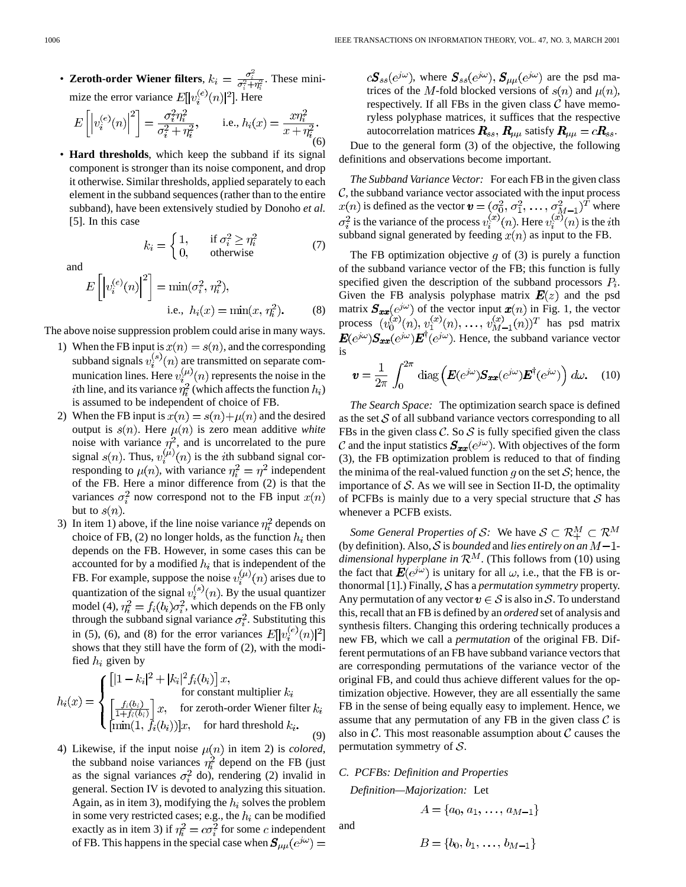• **Zeroth-order Wiener filters**,  $k_i = \frac{\sigma_i}{\sigma^2 + n^2}$ . These minimize the error variance  $E[|v_i^{(e)}(n)|^2]$ . Here

$$
E\left[\left|v_i^{(e)}(n)\right|^2\right] = \frac{\sigma_i^2 \eta_i^2}{\sigma_i^2 + \eta_i^2}, \qquad \text{i.e., } h_i(x) = \frac{x\eta_i^2}{x + \eta_i^2}.
$$

• **Hard thresholds**, which keep the subband if its signal component is stronger than its noise component, and drop it otherwise. Similar thresholds, applied separately to each element in the subband sequences (rather than to the entire subband), have been extensively studied by Donoho *et al.* [5]. In this case

$$
k_i = \begin{cases} 1, & \text{if } \sigma_i^2 \ge \eta_i^2 \\ 0, & \text{otherwise} \end{cases} \tag{7}
$$

and

$$
E\left[\left|v_i^{(e)}(n)\right|^2\right] = \min(\sigma_i^2, \eta_i^2),
$$
  
i.e.,  $h_i(x) = \min(x, \eta_i^2)$ . (8)

The above noise suppression problem could arise in many ways.

- 1) When the FB input is  $x(n) = s(n)$ , and the corresponding subband signals  $v_i^{(s)}(n)$  are transmitted on separate communication lines. Here  $v_i^{(\mu)}(n)$  represents the noise in the th line, and its variance  $\eta_i^2$  (which affects the function  $h_i$ ) is assumed to be independent of choice of FB.
- 2) When the FB input is  $x(n) = s(n) + \mu(n)$  and the desired output is  $s(n)$ . Here  $\mu(n)$  is zero mean additive *white* noise with variance  $\eta^2$ , and is uncorrelated to the pure signal  $s(n)$ . Thus,  $v_i^{(\mu)}(n)$  is the *i*th subband signal corresponding to  $\mu(n)$ , with variance  $\eta_i^2 = \eta^2$  independent of the FB. Here a minor difference from (2) is that the variances  $\sigma_i^2$  now correspond not to the FB input  $x(n)$ but to  $s(n)$ .
- 3) In item 1) above, if the line noise variance  $\eta_i^2$  depends on choice of FB, (2) no longer holds, as the function  $h_i$  then depends on the FB. However, in some cases this can be accounted for by a modified  $h_i$  that is independent of the FB. For example, suppose the noise  $v_i^{(\mu)}(n)$  arises due to quantization of the signal  $v_i^{(s)}(n)$ . By the usual quantizer model (4),  $\eta_i^2 = f_i(b_i)\sigma_i^2$ , which depends on the FB only through the subband signal variance  $\sigma_i^2$ . Substituting this in (5), (6), and (8) for the error variances  $E[|v_i^{(e)}(n)|^2]$ shows that they still have the form of (2), with the modified  $h_i$  given by

$$
h_i(x) = \begin{cases} \left[ |1 - k_i|^2 + |k_i|^2 f_i(b_i) \right] x, & \text{for constant multiplier } k_i\\ \left[ \frac{f_i(b_i)}{1 + f_i(b_i)} \right] x, & \text{for zeroth-order Wiener filter } k_i\\ \left[ \min(1, f_i(b_i)) \right] x, & \text{for hard threshold } k_i. \end{cases} \tag{9}
$$

4) Likewise, if the input noise  $\mu(n)$  in item 2) is *colored*, the subband noise variances  $\eta_i^2$  depend on the FB (just as the signal variances  $\sigma_i^2$  do), rendering (2) invalid in general. Section IV is devoted to analyzing this situation. Again, as in item 3), modifying the  $h_i$  solves the problem in some very restricted cases; e.g., the  $h_i$  can be modified exactly as in item 3) if  $\eta_i^2 = c\sigma_i^2$  for some c independent of FB. This happens in the special case when  $S_{\mu\mu}(e^{j\omega}) =$ 

 $cS_{ss}(e^{j\omega})$ , where  $S_{ss}(e^{j\omega})$ ,  $S_{\mu\mu}(e^{j\omega})$  are the psd matrices of the M-fold blocked versions of  $s(n)$  and  $\mu(n)$ , respectively. If all FBs in the given class  $C$  have memoryless polyphase matrices, it suffices that the respective autocorrelation matrices  $\bm{R}_{ss}$ ,  $\bm{R}_{\mu\mu}$  satisfy  $\bm{R}_{\mu\mu} = c\bm{R}_{ss}$ . Due to the general form (3) of the objective, the following

definitions and observations become important.

*The Subband Variance Vector:* For each FB in the given class  $C$ , the subband variance vector associated with the input process is defined as the vector  $\mathbf{v} = (\sigma_0^2, \sigma_1^2, \ldots, \sigma_{M-1}^2)^T$  where is the variance of the process  $v_i^{(x)}(n)$ . Here  $v_i^{(x)}(n)$  is the *i*th subband signal generated by feeding  $x(n)$  as input to the FB.

The FB optimization objective  $q$  of (3) is purely a function of the subband variance vector of the FB; this function is fully specified given the description of the subband processors  $P_i$ . Given the FB analysis polyphase matrix  $E(z)$  and the psd matrix  $S_{xx}(e^{j\omega})$  of the vector input  $x(n)$  in Fig. 1, the vector process  $(v_0^{(x)}(n), v_1^{(x)}(n), \ldots, v_{M-1}^{(x)}(n))^T$  has psd matrix . Hence, the subband variance vector is

$$
\boldsymbol{v} = \frac{1}{2\pi} \int_0^{2\pi} \text{diag}\left(\boldsymbol{E}(e^{j\omega}) \boldsymbol{S}_{\boldsymbol{x}\boldsymbol{x}}(e^{j\omega}) \boldsymbol{E}^\dagger(e^{j\omega})\right) d\omega. \quad (10)
$$

*The Search Space:* The optimization search space is defined as the set  $S$  of all subband variance vectors corresponding to all FBs in the given class  $\mathcal{C}$ . So  $\mathcal{S}$  is fully specified given the class C and the input statistics  $S_{xx}(e^{j\omega})$ . With objectives of the form (3), the FB optimization problem is reduced to that of finding the minima of the real-valued function q on the set  $S$ ; hence, the importance of  $S$ . As we will see in Section II-D, the optimality of PCFBs is mainly due to a very special structure that  $S$  has whenever a PCFB exists.

*Some General Properties of S:* We have  $S \subset \mathcal{R}_+^M \subset \mathcal{R}^M$ (by definition). Also,  $S$  is *bounded* and *lies entirely on an*  $M-1$ *dimensional hyperplane in*  $\mathcal{R}^M$ . (This follows from (10) using the fact that  $\mathbf{E}(e^{j\omega})$  is unitary for all  $\omega$ , i.e., that the FB is orthonormal [1].) Finally, S has a *permutation symmetry* property. Any permutation of any vector  $\mathbf{v} \in \mathcal{S}$  is also in S. To understand this, recall that an FB is defined by an *ordered* set of analysis and synthesis filters. Changing this ordering technically produces a new FB, which we call a *permutation* of the original FB. Different permutations of an FB have subband variance vectors that are corresponding permutations of the variance vector of the original FB, and could thus achieve different values for the optimization objective. However, they are all essentially the same FB in the sense of being equally easy to implement. Hence, we assume that any permutation of any FB in the given class  $\mathcal C$  is also in  $\mathcal C$ . This most reasonable assumption about  $\mathcal C$  causes the permutation symmetry of  $S$ .

# *C. PCFBs: Definition and Properties*

*Definition—Majorization:* Let

and

$$
B = \{b_0, b_1, \ldots, b_{M-1}\}
$$

 $A = \{a_0, a_1, \ldots, a_{M-1}\}\$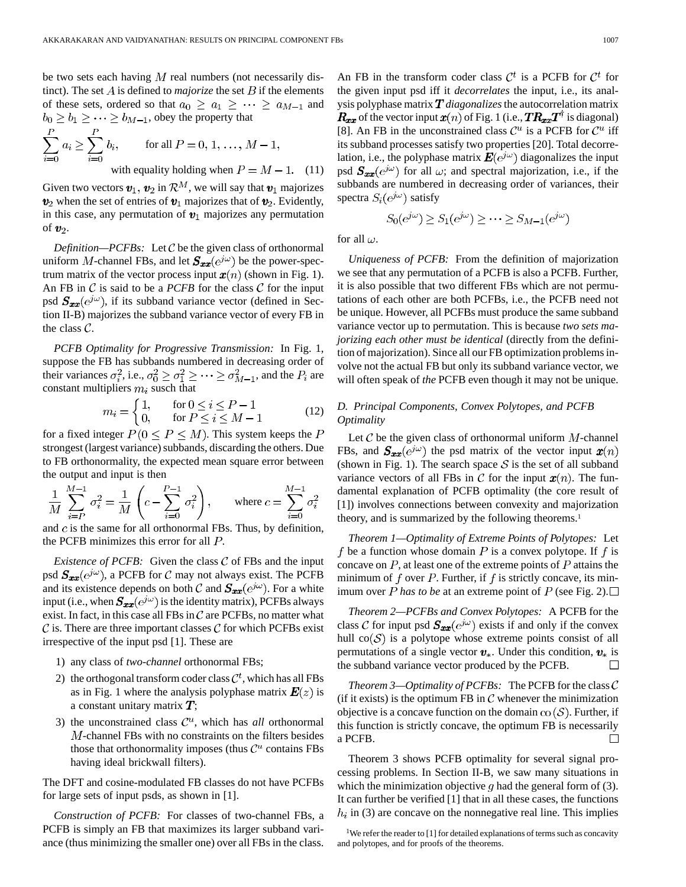be two sets each having  $M$  real numbers (not necessarily distinct). The set  $\vec{A}$  is defined to *majorize* the set  $\vec{B}$  if the elements of these sets, ordered so that  $a_0 \ge a_1 \ge \cdots \ge a_{M-1}$  and  $b_0 \geq b_1 \geq \cdots \geq b_{M-1}$ , obey the property that

$$
\sum_{i=0}^{P} a_i \ge \sum_{i=0}^{P} b_i,
$$
 for all  $P = 0, 1, ..., M - 1$ ,  
with equality holding when  $P = M - 1$ . (11)

of  $v_2$ .

Given two vectors  $\mathbf{v}_1$ ,  $\mathbf{v}_2$  in  $\mathcal{R}^M$ , we will say that  $\mathbf{v}_1$  majorizes  $v_2$  when the set of entries of  $v_1$  majorizes that of  $v_2$ . Evidently, in this case, any permutation of  $v_1$  majorizes any permutation

*Definition—PCFBs:* Let  $\mathcal C$  be the given class of orthonormal uniform M-channel FBs, and let  $S_{xx}(e^{j\omega})$  be the power-spectrum matrix of the vector process input  $\mathbf{x}(n)$  (shown in Fig. 1). An FB in  $\mathcal C$  is said to be a *PCFB* for the class  $\mathcal C$  for the input psd  $S_{xx}(e^{j\omega})$ , if its subband variance vector (defined in Section II-B) majorizes the subband variance vector of every FB in the class  $C$ .

*PCFB Optimality for Progressive Transmission:* In Fig. 1, suppose the FB has subbands numbered in decreasing order of their variances  $\sigma_i^2$ , i.e.,  $\sigma_0^2 \geq \sigma_1^2 \geq \cdots \geq \sigma_{M-1}^2$ , and the  $P_i$  are constant multipliers  $m_i$  susch that

$$
m_i = \begin{cases} 1, & \text{for } 0 \le i \le P - 1 \\ 0, & \text{for } P \le i \le M - 1 \end{cases} \tag{12}
$$

for a fixed integer  $P(0 \leq P \leq M)$ . This system keeps the P strongest (largest variance) subbands, discarding the others. Due to FB orthonormality, the expected mean square error between the output and input is then

$$
\frac{1}{M} \sum_{i=P}^{M-1} \sigma_i^2 = \frac{1}{M} \left( c - \sum_{i=0}^{P-1} \sigma_i^2 \right), \quad \text{where } c = \sum_{i=0}^{M-1} \sigma_i^2
$$

and  $c$  is the same for all orthonormal FBs. Thus, by definition, the PCFB minimizes this error for all  $P$ .

*Existence of PCFB:* Given the class  $C$  of FBs and the input psd  $S_{xx}(e^{j\omega})$ , a PCFB for C may not always exist. The PCFB and its existence depends on both C and  $S_{xx}(e^{j\omega})$ . For a white input (i.e., when  $S_{xx}(e^{j\omega})$  is the identity matrix), PCFBs always exist. In fact, in this case all FBs in  $\mathcal C$  are PCFBs, no matter what  $\mathcal C$  is. There are three important classes  $\mathcal C$  for which PCFBs exist irrespective of the input psd [1]. These are

- 1) any class of *two-channel* orthonormal FBs;
- 2) the orthogonal transform coder class  $\mathcal{C}^t$ , which has all FBs as in Fig. 1 where the analysis polyphase matrix  $\mathbf{E}(z)$  is a constant unitary matrix  $T$ ;
- 3) the unconstrained class  $\mathcal{C}^u$ , which has *all* orthonormal M-channel FBs with no constraints on the filters besides those that orthonormality imposes (thus  $\mathcal{C}^u$  contains FBs having ideal brickwall filters).

The DFT and cosine-modulated FB classes do not have PCFBs for large sets of input psds, as shown in [1].

*Construction of PCFB:* For classes of two-channel FBs, a PCFB is simply an FB that maximizes its larger subband variance (thus minimizing the smaller one) over all FBs in the class. An FB in the transform coder class  $\mathcal{C}^t$  is a PCFB for  $\mathcal{C}^t$  for the given input psd iff it *decorrelates* the input, i.e., its analysis polyphase matrix *diagonalizes*the autocorrelation matrix  $\mathbf{R}_{xx}$  of the vector input  $\mathbf{x}(n)$  of Fig. 1 (i.e.,  $\mathbf{TR}_{xx}\mathbf{T}^{\dagger}$  is diagonal) [8]. An FB in the unconstrained class  $\mathcal{C}^u$  is a PCFB for  $\mathcal{C}^u$  iff its subband processes satisfy two properties [20]. Total decorrelation, i.e., the polyphase matrix  $\mathbf{E}(e^{j\omega})$  diagonalizes the input psd  $S_{xx}(e^{j\omega})$  for all  $\omega$ ; and spectral majorization, i.e., if the subbands are numbered in decreasing order of variances, their spectra  $S_i(e^{j\omega})$  satisfy

$$
S_0(e^{j\omega}) \ge S_1(e^{j\omega}) \ge \dots \ge S_{M-1}(e^{j\omega})
$$

for all  $\omega$ .

*Uniqueness of PCFB:* From the definition of majorization we see that any permutation of a PCFB is also a PCFB. Further, it is also possible that two different FBs which are not permutations of each other are both PCFBs, i.e., the PCFB need not be unique. However, all PCFBs must produce the same subband variance vector up to permutation. This is because *two sets majorizing each other must be identical* (directly from the definition of majorization). Since all our FB optimization problems involve not the actual FB but only its subband variance vector, we will often speak of *the* PCFB even though it may not be unique.

# *D. Principal Components, Convex Polytopes, and PCFB Optimality*

Let  $C$  be the given class of orthonormal uniform  $M$ -channel FBs, and  $S_{xx}(e^{j\omega})$  the psd matrix of the vector input  $x(n)$ (shown in Fig. 1). The search space  $S$  is the set of all subband variance vectors of all FBs in C for the input  $x(n)$ . The fundamental explanation of PCFB optimality (the core result of [1]) involves connections between convexity and majorization theory, and is summarized by the following theorems.1

*Theorem 1—Optimality of Extreme Points of Polytopes:* Let f be a function whose domain P is a convex polytope. If f is concave on  $P$ , at least one of the extreme points of  $P$  attains the minimum of f over P. Further, if f is strictly concave, its minimum over *P* has to be at an extreme point of *P* (see Fig. 2).  $\Box$ 

*Theorem 2—PCFBs and Convex Polytopes:* A PCFB for the class C for input psd  $S_{xx}(e^{j\omega})$  exists if and only if the convex hull  $co(S)$  is a polytope whose extreme points consist of all permutations of a single vector  $v_*$ . Under this condition,  $v_*$  is the subband variance vector produced by the PCFB.  $\Box$ 

*Theorem 3—Optimality of PCFBs:* The PCFB for the class  $C$ (if it exists) is the optimum FB in  $\mathcal C$  whenever the minimization objective is a concave function on the domain  $\cos(S)$ . Further, if this function is strictly concave, the optimum FB is necessarily a PCFB.  $\Box$ 

Theorem 3 shows PCFB optimality for several signal processing problems. In Section II-B, we saw many situations in which the minimization objective q had the general form of  $(3)$ . It can further be verified [1] that in all these cases, the functions  $h_i$  in (3) are concave on the nonnegative real line. This implies

<sup>&</sup>lt;sup>1</sup>We refer the reader to [1] for detailed explanations of terms such as concavity and polytopes, and for proofs of the theorems.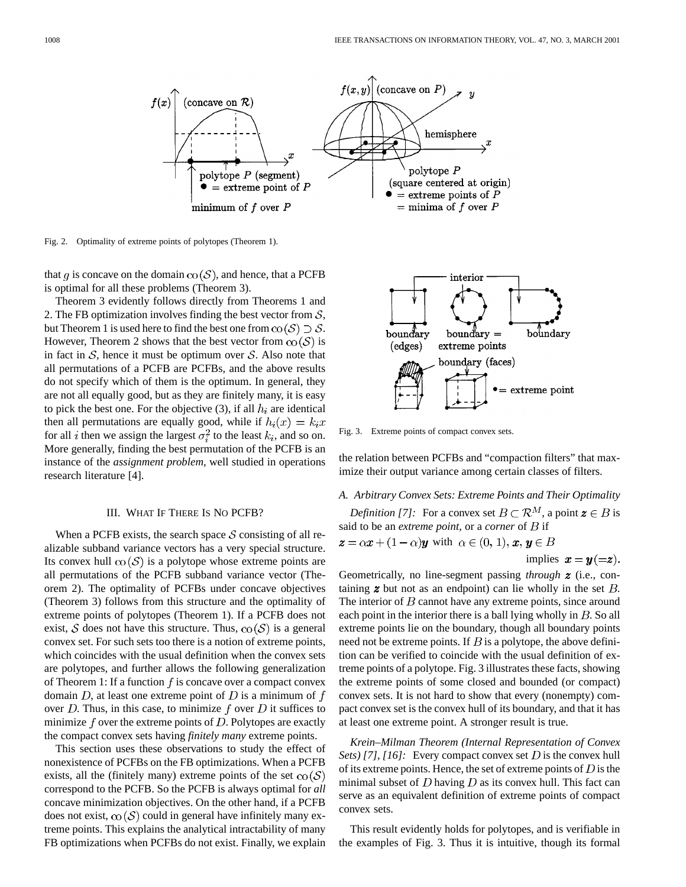

Fig. 2. Optimality of extreme points of polytopes (Theorem 1).

that q is concave on the domain  $\text{co}(S)$ , and hence, that a PCFB is optimal for all these problems (Theorem 3).

Theorem 3 evidently follows directly from Theorems 1 and 2. The FB optimization involves finding the best vector from  $S$ , but Theorem 1 is used here to find the best one from  $\text{co}(\mathcal{S}) \supset \mathcal{S}$ . However, Theorem 2 shows that the best vector from  $\cos(S)$  is in fact in  $S$ , hence it must be optimum over  $S$ . Also note that all permutations of a PCFB are PCFBs, and the above results do not specify which of them is the optimum. In general, they are not all equally good, but as they are finitely many, it is easy to pick the best one. For the objective (3), if all  $h_i$  are identical then all permutations are equally good, while if  $h_i(x) = k_i x$ for all i then we assign the largest  $\sigma_i^2$  to the least  $k_i$ , and so on. More generally, finding the best permutation of the PCFB is an instance of the *assignment problem*, well studied in operations research literature [4].

# III. WHAT IF THERE IS NO PCFB?

When a PCFB exists, the search space  $S$  consisting of all realizable subband variance vectors has a very special structure. Its convex hull  $\text{co}(\mathcal{S})$  is a polytope whose extreme points are all permutations of the PCFB subband variance vector (Theorem 2). The optimality of PCFBs under concave objectives (Theorem 3) follows from this structure and the optimality of extreme points of polytopes (Theorem 1). If a PCFB does not exist, S does not have this structure. Thus,  $\cos(S)$  is a general convex set. For such sets too there is a notion of extreme points, which coincides with the usual definition when the convex sets are polytopes, and further allows the following generalization of Theorem 1: If a function  $f$  is concave over a compact convex domain  $D$ , at least one extreme point of  $D$  is a minimum of  $f$ over  $D$ . Thus, in this case, to minimize  $f$  over  $D$  it suffices to minimize  $f$  over the extreme points of  $D$ . Polytopes are exactly the compact convex sets having *finitely many* extreme points.

This section uses these observations to study the effect of nonexistence of PCFBs on the FB optimizations. When a PCFB exists, all the (finitely many) extreme points of the set  $\cos(S)$ correspond to the PCFB. So the PCFB is always optimal for *all* concave minimization objectives. On the other hand, if a PCFB does not exist,  $\alpha(\mathcal{S})$  could in general have infinitely many extreme points. This explains the analytical intractability of many FB optimizations when PCFBs do not exist. Finally, we explain



Fig. 3. Extreme points of compact convex sets.

the relation between PCFBs and "compaction filters" that maximize their output variance among certain classes of filters.

# *A. Arbitrary Convex Sets: Extreme Points and Their Optimality*

*Definition [7]:* For a convex set  $B \subset \mathbb{R}^M$ , a point  $\mathbf{z} \in B$  is said to be an *extreme point*, or a *corner* of  $B$  if

 $z = \alpha x + (1 - \alpha)y$  with  $\alpha \in (0, 1), x, y \in B$ 

implies  $x = y (=z)$ .

Geometrically, no line-segment passing *through*  $\boldsymbol{z}$  (i.e., containing  $\boldsymbol{z}$  but not as an endpoint) can lie wholly in the set  $B$ . The interior of  $B$  cannot have any extreme points, since around each point in the interior there is a ball lying wholly in  $B$ . So all extreme points lie on the boundary, though all boundary points need not be extreme points. If  $B$  is a polytope, the above definition can be verified to coincide with the usual definition of extreme points of a polytope. Fig. 3 illustrates these facts, showing the extreme points of some closed and bounded (or compact) convex sets. It is not hard to show that every (nonempty) compact convex set is the convex hull of its boundary, and that it has at least one extreme point. A stronger result is true.

*Krein–Milman Theorem (Internal Representation of Convex Sets)* [7], [16]: Every compact convex set D is the convex hull of its extreme points. Hence, the set of extreme points of  $D$  is the minimal subset of  $D$  having  $D$  as its convex hull. This fact can serve as an equivalent definition of extreme points of compact convex sets.

This result evidently holds for polytopes, and is verifiable in the examples of Fig. 3. Thus it is intuitive, though its formal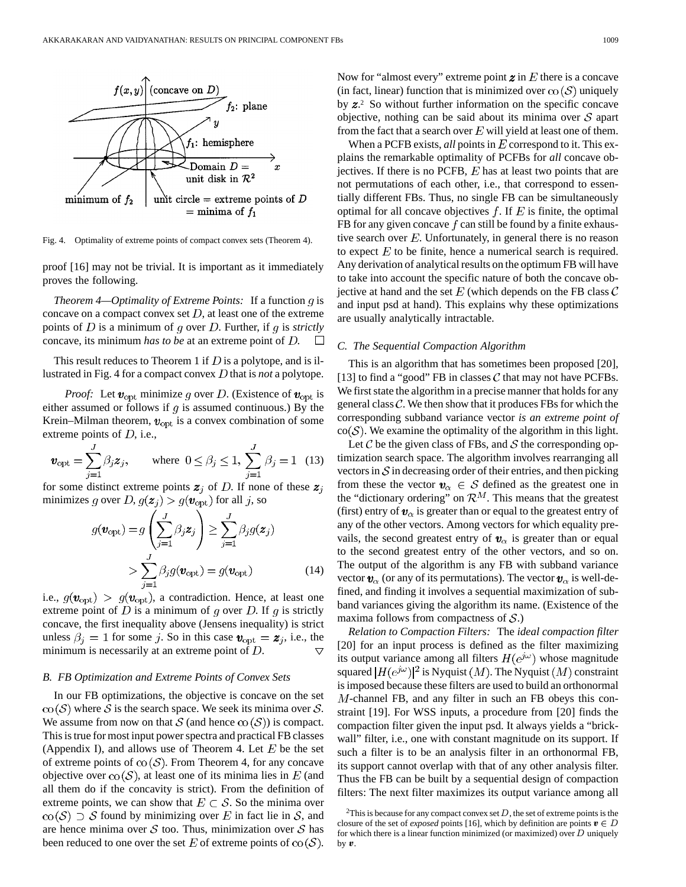

Fig. 4. Optimality of extreme points of compact convex sets (Theorem 4).

proof [16] may not be trivial. It is important as it immediately proves the following.

*Theorem 4—Optimality of Extreme Points:* If a function  $q$  is concave on a compact convex set  $D$ , at least one of the extreme points of  $D$  is a minimum of  $q$  over  $D$ . Further, if  $q$  is *strictly* concave, its minimum *has to be* at an extreme point of D.  $\Box$ 

This result reduces to Theorem 1 if  $D$  is a polytope, and is illustrated in Fig. 4 for a compact convex  $D$  that is *not* a polytope.

*Proof:* Let  $v_{\text{opt}}$  minimize g over D. (Existence of  $v_{\text{opt}}$  is either assumed or follows if  $g$  is assumed continuous.) By the Krein–Milman theorem,  $v_{opt}$  is a convex combination of some extreme points of  $D$ , i.e.,

$$
\mathbf{v}_{\text{opt}} = \sum_{j=1}^{J} \beta_j \mathbf{z}_j, \quad \text{where } 0 \le \beta_j \le 1, \sum_{j=1}^{J} \beta_j = 1 \quad (13)
$$

for some distinct extreme points  $z_j$  of D. If none of these  $z_j$ minimizes  $g$  over  $D,$   $g(\pmb{z}_j)>g(\pmb{v}_{\rm opt})$  for all  $j,$  so

$$
g(\mathbf{v}_{\text{opt}}) = g\left(\sum_{j=1}^{J} \beta_j \mathbf{z}_j\right) \ge \sum_{j=1}^{J} \beta_j g(\mathbf{z}_j)
$$
  
> 
$$
\sum_{j=1}^{J} \beta_j g(\mathbf{v}_{\text{opt}}) = g(\mathbf{v}_{\text{opt}})
$$
(14)

i.e.,  $g(\mathbf{v}_{opt}) > g(\mathbf{v}_{opt})$ , a contradiction. Hence, at least one extreme point of  $D$  is a minimum of  $g$  over  $D$ . If  $g$  is strictly concave, the first inequality above (Jensens inequality) is strict unless  $\beta_j = 1$  for some j. So in this case  $v_{opt} = z_j$ , i.e., the minimum is necessarily at an extreme point of  $D$ .  $\triangledown$ 

# *B. FB Optimization and Extreme Points of Convex Sets*

In our FB optimizations, the objective is concave on the set  $\cos(S)$  where S is the search space. We seek its minima over S. We assume from now on that S (and hence  $\text{co}(S)$ ) is compact. This is true for most input power spectra and practical FB classes (Appendix I), and allows use of Theorem 4. Let  $E$  be the set of extreme points of  $\text{co}(\mathcal{S})$ . From Theorem 4, for any concave objective over  $\text{co}(\mathcal{S})$ , at least one of its minima lies in E (and all them do if the concavity is strict). From the definition of extreme points, we can show that  $E \subset S$ . So the minima over  $\text{co}(\mathcal{S}) \supset \mathcal{S}$  found by minimizing over E in fact lie in S, and are hence minima over  $S$  too. Thus, minimization over  $S$  has been reduced to one over the set E of extreme points of  $\text{co}(\mathcal{S})$ . Now for "almost every" extreme point  $\boldsymbol{z}$  in  $E$  there is a concave (in fact, linear) function that is minimized over  $\text{co}(\mathcal{S})$  uniquely by  $z^2$ . So without further information on the specific concave objective, nothing can be said about its minima over  $S$  apart from the fact that a search over  $E$  will yield at least one of them.

When a PCFB exists, *all* points in  $E$  correspond to it. This explains the remarkable optimality of PCFBs for *all* concave objectives. If there is no PCFB,  $E$  has at least two points that are not permutations of each other, i.e., that correspond to essentially different FBs. Thus, no single FB can be simultaneously optimal for all concave objectives  $f$ . If  $E$  is finite, the optimal FB for any given concave  $f$  can still be found by a finite exhaustive search over  $E$ . Unfortunately, in general there is no reason to expect  $E$  to be finite, hence a numerical search is required. Any derivation of analytical results on the optimum FB will have to take into account the specific nature of both the concave objective at hand and the set  $E$  (which depends on the FB class  $C$ and input psd at hand). This explains why these optimizations are usually analytically intractable.

# *C. The Sequential Compaction Algorithm*

This is an algorithm that has sometimes been proposed [20], [13] to find a "good" FB in classes  $\mathcal C$  that may not have PCFBs. We first state the algorithm in a precise manner that holds for any general class  $C$ . We then show that it produces FBs for which the corresponding subband variance vector *is an extreme point of*  $co(S)$ . We examine the optimality of the algorithm in this light.

Let C be the given class of FBs, and S the corresponding optimization search space. The algorithm involves rearranging all vectors in  $\mathcal S$  in decreasing order of their entries, and then picking from these the vector  $v_{\alpha} \in S$  defined as the greatest one in the "dictionary ordering" on  $\mathcal{R}^M$ . This means that the greatest (first) entry of  $v_{\alpha}$  is greater than or equal to the greatest entry of any of the other vectors. Among vectors for which equality prevails, the second greatest entry of  $v_\alpha$  is greater than or equal to the second greatest entry of the other vectors, and so on. The output of the algorithm is any FB with subband variance vector  $v_\alpha$  (or any of its permutations). The vector  $v_\alpha$  is well-defined, and finding it involves a sequential maximization of subband variances giving the algorithm its name. (Existence of the maxima follows from compactness of  $S$ .)

*Relation to Compaction Filters:* The *ideal compaction filter* [20] for an input process is defined as the filter maximizing its output variance among all filters  $H(e^{j\omega})$  whose magnitude squared  $|H(e^{j\omega})|^2$  is Nyquist  $(M)$ . The Nyquist  $(M)$  constraint is imposed because these filters are used to build an orthonormal M-channel FB, and any filter in such an FB obeys this constraint [19]. For WSS inputs, a procedure from [20] finds the compaction filter given the input psd. It always yields a "brickwall" filter, i.e., one with constant magnitude on its support. If such a filter is to be an analysis filter in an orthonormal FB, its support cannot overlap with that of any other analysis filter. Thus the FB can be built by a sequential design of compaction filters: The next filter maximizes its output variance among all

<sup>&</sup>lt;sup>2</sup>This is because for any compact convex set  $D$ , the set of extreme points is the closure of the set of *exposed* points [16], which by definition are points  $v \in D$ for which there is a linear function minimized (or maximized) over  $D$  uniquely by v.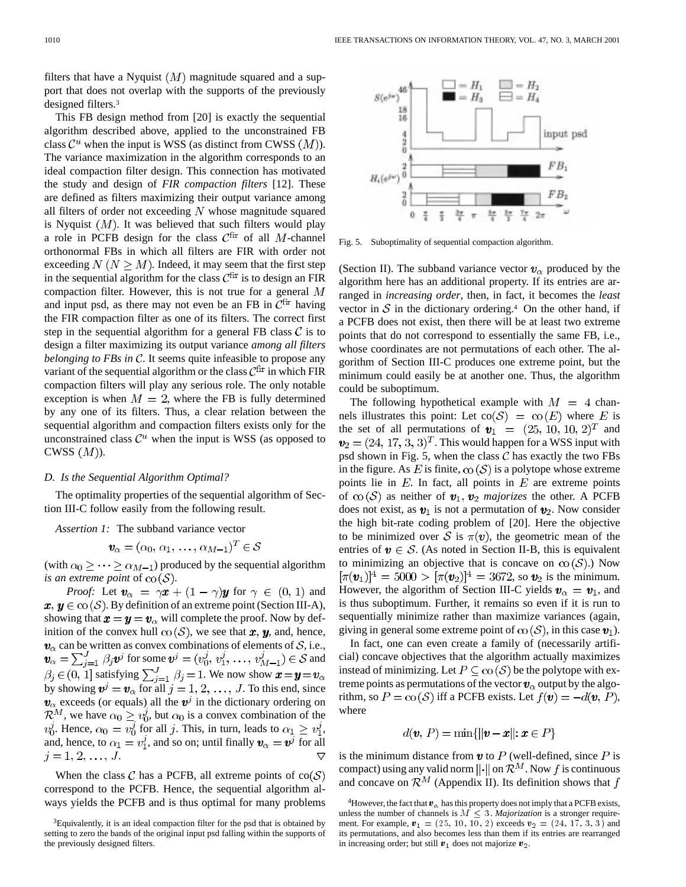filters that have a Nyquist  $(M)$  magnitude squared and a support that does not overlap with the supports of the previously designed filters.3

This FB design method from [20] is exactly the sequential algorithm described above, applied to the unconstrained FB class  $\mathcal{C}^u$  when the input is WSS (as distinct from CWSS  $(M)$ ). The variance maximization in the algorithm corresponds to an ideal compaction filter design. This connection has motivated the study and design of *FIR compaction filters* [12]. These are defined as filters maximizing their output variance among all filters of order not exceeding  $N$  whose magnitude squared is Nyquist  $(M)$ . It was believed that such filters would play a role in PCFB design for the class  $C^{fir}$  of all M-channel orthonormal FBs in which all filters are FIR with order not exceeding  $N (N > M)$ . Indeed, it may seem that the first step in the sequential algorithm for the class  $C^{fir}$  is to design an FIR compaction filter. However, this is not true for a general  $M$ and input psd, as there may not even be an FB in  $\mathcal{C}^{\text{fir}}$  having the FIR compaction filter as one of its filters. The correct first step in the sequential algorithm for a general FB class  $C$  is to design a filter maximizing its output variance *among all filters belonging to FBs in C.* It seems quite infeasible to propose any variant of the sequential algorithm or the class  $\mathcal{C}^{fir}$  in which FIR compaction filters will play any serious role. The only notable exception is when  $M = 2$ , where the FB is fully determined by any one of its filters. Thus, a clear relation between the sequential algorithm and compaction filters exists only for the unconstrained class  $\mathcal{C}^u$  when the input is WSS (as opposed to CWSS  $(M)$ ).

#### *D. Is the Sequential Algorithm Optimal?*

The optimality properties of the sequential algorithm of Section III-C follow easily from the following result.

*Assertion 1:* The subband variance vector

$$
\boldsymbol{v}_{\alpha}=(\alpha_0,\,\alpha_1,\,\ldots,\,\alpha_{M-1})^T\in\mathcal{E}
$$

(with  $\alpha_0 \geq \cdots \geq \alpha_{M-1}$ ) produced by the sequential algorithm *is an extreme point* of  $co(S)$ .

*Proof:* Let  $v_{\alpha} = \gamma x + (1 - \gamma)y$  for  $\gamma \in (0, 1)$  and  $x, y \in \text{co}(\mathcal{S})$ . By definition of an extreme point (Section III-A), showing that  $\mathbf{x} = \mathbf{y} = v_{\alpha}$  will complete the proof. Now by definition of the convex hull  $\text{co}(\mathcal{S})$ , we see that  $\boldsymbol{x}, \boldsymbol{y}$ , and, hence,  $v_{\alpha}$  can be written as convex combinations of elements of S, i.e., for some  $v^j = (v_0^j, v_1^j, \ldots, v_{M-1}^j) \in S$  and satisfying  $\sum_{i=1}^{J} \beta_i = 1$ . We now show by showing  $\mathbf{v}^j = \mathbf{v}_\alpha$  for all  $j = 1, 2, ..., J$ . To this end, since  $v_{\alpha}$  exceeds (or equals) all the  $v^{j}$  in the dictionary ordering on  $\mathcal{R}^M$ , we have  $\alpha_0 \geq v_0^j$ , but  $\alpha_0$  is a convex combination of the  $v_0^j$ . Hence,  $\alpha_0 = v_0^j$  for all j. This, in turn, leads to  $\alpha_1 \ge v_1^j$ , and, hence, to  $\alpha_1 = v_1^j$ , and so on; until finally  $\mathbf{v}_\alpha = \mathbf{v}^j$  for all  $j = 1, 2, ..., J$ .

When the class C has a PCFB, all extreme points of  $co(S)$ correspond to the PCFB. Hence, the sequential algorithm always yields the PCFB and is thus optimal for many problems



Fig. 5. Suboptimality of sequential compaction algorithm.

(Section II). The subband variance vector  $v_{\alpha}$  produced by the algorithm here has an additional property. If its entries are arranged in *increasing order*, then, in fact, it becomes the *least* vector in  $S$  in the dictionary ordering.<sup>4</sup> On the other hand, if a PCFB does not exist, then there will be at least two extreme points that do not correspond to essentially the same FB, i.e., whose coordinates are not permutations of each other. The algorithm of Section III-C produces one extreme point, but the minimum could easily be at another one. Thus, the algorithm could be suboptimum.

The following hypothetical example with  $M = 4$  channels illustrates this point: Let  $co(S) = co(E)$  where E is the set of all permutations of  $v_1 = (25, 10, 10, 2)^T$  and  $v_2 = (24, 17, 3, 3)^T$ . This would happen for a WSS input with psd shown in Fig. 5, when the class  $C$  has exactly the two FBs in the figure. As E is finite,  $\cos(S)$  is a polytope whose extreme points lie in  $E$ . In fact, all points in  $E$  are extreme points of  $\infty(S)$  as neither of  $v_1, v_2$  *majorizes* the other. A PCFB does not exist, as  $v_1$  is not a permutation of  $v_2$ . Now consider the high bit-rate coding problem of [20]. Here the objective to be minimized over S is  $\pi(v)$ , the geometric mean of the entries of  $v \in S$ . (As noted in Section II-B, this is equivalent to minimizing an objective that is concave on  $\text{co}(\mathcal{S})$ .) Now  $[\pi(\mathbf{v}_1)]^4 = 5000 > [\pi(\mathbf{v}_2)]^4 = 3672$ , so  $\mathbf{v}_2$  is the minimum. However, the algorithm of Section III-C yields  $v_{\alpha} = v_1$ , and is thus suboptimum. Further, it remains so even if it is run to sequentially minimize rather than maximize variances (again, giving in general some extreme point of  $\text{co}(\mathcal{S})$ , in this case  $\mathbf{v}_1$ ).

In fact, one can even create a family of (necessarily artificial) concave objectives that the algorithm actually maximizes instead of minimizing. Let  $P \subseteq \text{co}(S)$  be the polytope with extreme points as permutations of the vector  $\mathbf{v}_{\alpha}$  output by the algorithm, so  $P = \text{co}(S)$  iff a PCFB exists. Let  $f(v) = -d(v, P)$ , where

$$
d(\boldsymbol{v}, P) = \min \{ \|\boldsymbol{v} - \boldsymbol{x} \| \colon \boldsymbol{x} \in P \}
$$

is the minimum distance from  $\boldsymbol{v}$  to  $P$  (well-defined, since  $P$  is compact) using any valid norm  $\left\| \cdot \right\|$  on  $\mathcal{R}^M$ . Now f is continuous and concave on  $\mathcal{R}^M$  (Appendix II). Its definition shows that f

<sup>3</sup>Equivalently, it is an ideal compaction filter for the psd that is obtained by setting to zero the bands of the original input psd falling within the supports of the previously designed filters.

<sup>&</sup>lt;sup>4</sup>However, the fact that  $v_{\alpha}$  has this property does not imply that a PCFB exists, unless the number of channels is  $M \leq 3$ . *Majorization* is a stronger requirement. For example,  $v_1 = (25, 10, 10, 2)$  exceeds  $v_2 = (24, 17, 3, 3)$  and its permutations, and also becomes less than them if its entries are rearranged in increasing order; but still  $\mathbf{v}_1$  does not majorize  $\mathbf{v}_2$ .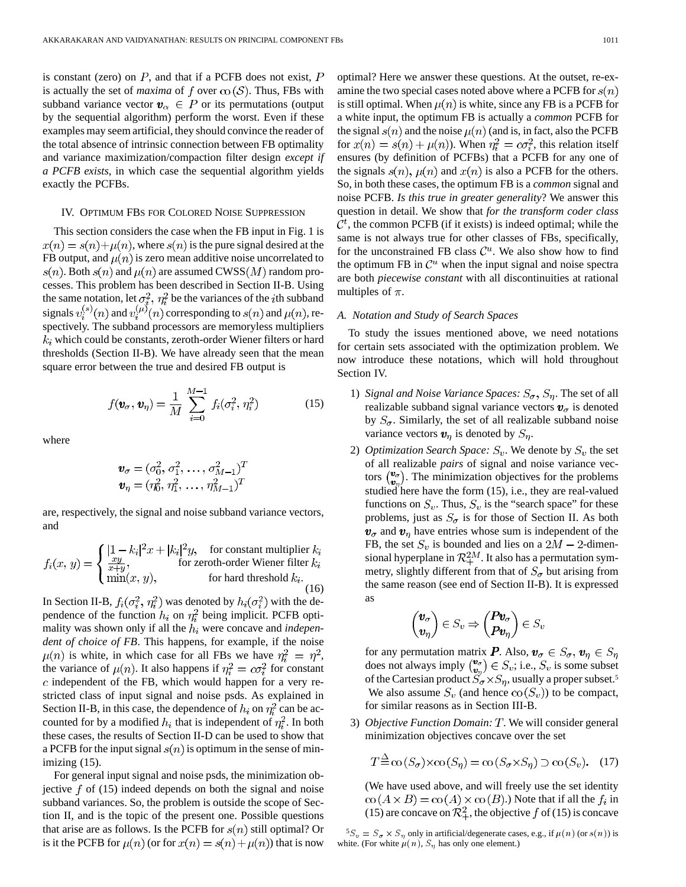is constant (zero) on  $P$ , and that if a PCFB does not exist,  $P$ is actually the set of *maxima* of f over  $\text{co}(S)$ . Thus, FBs with subband variance vector  $v_{\alpha} \in P$  or its permutations (output by the sequential algorithm) perform the worst. Even if these examples may seem artificial, they should convince the reader of the total absence of intrinsic connection between FB optimality and variance maximization/compaction filter design *except if a PCFB exists*, in which case the sequential algorithm yields exactly the PCFBs.

#### IV. OPTIMUM FBS FOR COLORED NOISE SUPPRESSION

This section considers the case when the FB input in Fig. 1 is  $x(n) = s(n) + \mu(n)$ , where  $s(n)$  is the pure signal desired at the FB output, and  $\mu(n)$  is zero mean additive noise uncorrelated to  $s(n)$ . Both  $s(n)$  and  $\mu(n)$  are assumed CWSS(M) random processes. This problem has been described in Section II-B. Using the same notation, let  $\sigma_i^2$ ,  $\eta_i^2$  be the variances of the *i*th subband signals  $v_i^{(s)}(n)$  and  $v_i^{(\mu)}(n)$  corresponding to  $s(n)$  and  $\mu(n)$ , respectively. The subband processors are memoryless multipliers  $k_i$  which could be constants, zeroth-order Wiener filters or hard thresholds (Section II-B). We have already seen that the mean square error between the true and desired FB output is

$$
f(\boldsymbol{v}_{\sigma}, \boldsymbol{v}_{\eta}) = \frac{1}{M} \sum_{i=0}^{M-1} f_i(\sigma_i^2, \eta_i^2)
$$
 (15)

where

$$
\mathbf{v}_{\sigma} = (\sigma_0^2, \sigma_1^2, \dots, \sigma_{M-1}^2)^T \n\mathbf{v}_{\eta} = (\eta_0^2, \eta_1^2, \dots, \eta_{M-1}^2)^T
$$

are, respectively, the signal and noise subband variance vectors, and

$$
f_i(x, y) = \begin{cases} \n|1 - k_i|^2 x + |k_i|^2 y, & \text{for constant multiplier } k_i \\
\frac{xy}{x + y}, & \text{for zeroth-order Wiener filter } k_i \\
\min(x, y), & \text{for hard threshold } k_i.\n\end{cases} \tag{16}
$$

In Section II-B,  $f_i(\sigma_i^2, \eta_i^2)$  was denoted by  $h_i(\sigma_i^2)$  with the dependence of the function  $h_i$  on  $\eta_i^2$  being implicit. PCFB optimality was shown only if all the  $h_i$  were concave and *independent of choice of FB*. This happens, for example, if the noise is white, in which case for all FBs we have  $\eta_i^2 = \eta^2$ , the variance of  $\mu(n)$ . It also happens if  $\eta_i^2 = c\sigma_i^2$  for constant  $c$  independent of the FB, which would happen for a very restricted class of input signal and noise psds. As explained in Section II-B, in this case, the dependence of  $h_i$  on  $\eta_i^2$  can be accounted for by a modified  $h_i$  that is independent of  $\eta_i^2$ . In both these cases, the results of Section II-D can be used to show that a PCFB for the input signal  $s(n)$  is optimum in the sense of minimizing  $(15)$ .

For general input signal and noise psds, the minimization objective  $f$  of (15) indeed depends on both the signal and noise subband variances. So, the problem is outside the scope of Section II, and is the topic of the present one. Possible questions that arise are as follows. Is the PCFB for  $s(n)$  still optimal? Or is it the PCFB for  $\mu(n)$  (or for  $x(n) = s(n) + \mu(n)$ ) that is now optimal? Here we answer these questions. At the outset, re-examine the two special cases noted above where a PCFB for  $s(n)$ is still optimal. When  $\mu(n)$  is white, since any FB is a PCFB for a white input, the optimum FB is actually a *common* PCFB for the signal  $s(n)$  and the noise  $\mu(n)$  (and is, in fact, also the PCFB for  $x(n) = s(n) + \mu(n)$ ). When  $\eta_i^2 = c\sigma_i^2$ , this relation itself ensures (by definition of PCFBs) that a PCFB for any one of the signals  $s(n)$ ,  $\mu(n)$  and  $x(n)$  is also a PCFB for the others. So, in both these cases, the optimum FB is a *common* signal and noise PCFB. *Is this true in greater generality*? We answer this question in detail. We show that *for the transform coder class*  $\mathcal{C}^t$ , the common PCFB (if it exists) is indeed optimal; while the same is not always true for other classes of FBs, specifically, for the unconstrained FB class  $\mathcal{C}^u$ . We also show how to find the optimum FB in  $\mathcal{C}^u$  when the input signal and noise spectra are both *piecewise constant* with all discontinuities at rational multiples of  $\pi$ .

# *A. Notation and Study of Search Spaces*

To study the issues mentioned above, we need notations for certain sets associated with the optimization problem. We now introduce these notations, which will hold throughout Section IV.

- 1) *Signal and Noise Variance Spaces:*  $S_{\sigma}$ ,  $S_{\eta}$ . The set of all realizable subband signal variance vectors  $v_{\sigma}$  is denoted by  $S_{\sigma}$ . Similarly, the set of all realizable subband noise variance vectors  $\mathbf{v}_{\eta}$  is denoted by  $S_{\eta}$ .
- 2) *Optimization Search Space:*  $S_v$ . We denote by  $S_v$  the set of all realizable *pairs* of signal and noise variance vectors  $\binom{v_{\sigma}}{v_n}$ . The minimization objectives for the problems studied here have the form (15), i.e., they are real-valued functions on  $S_v$ . Thus,  $S_v$  is the "search space" for these problems, just as  $S_{\sigma}$  is for those of Section II. As both  $v_{\sigma}$  and  $v_{\eta}$  have entries whose sum is independent of the FB, the set  $S_v$  is bounded and lies on a  $2M - 2$ -dimensional hyperplane in  $\mathcal{R}_+^{2M}$ . It also has a permutation symmetry, slightly different from that of  $S_{\sigma}$  but arising from the same reason (see end of Section II-B). It is expressed as

$$
\begin{pmatrix} \boldsymbol{v}_{\sigma} \\ \boldsymbol{v}_{\eta} \end{pmatrix} \in S_v \Rightarrow \begin{pmatrix} \boldsymbol{P} \boldsymbol{v}_{\sigma} \\ \boldsymbol{P} \boldsymbol{v}_{\eta} \end{pmatrix} \in S_v
$$

for any permutation matrix  $P$ . Also,  $v_{\sigma} \in S_{\sigma}$ ,  $v_{\eta} \in S_{\eta}$ does not always imply  $\binom{v_{\sigma}}{v} \in S_v$ ; i.e.,  $S_v$  is some subset of the Cartesian product  $S_{\sigma} \times S_{\eta}$ , usually a proper subset.<sup>5</sup> We also assume  $S_v$  (and hence  $\text{co}(S_v)$ ) to be compact, for similar reasons as in Section III-B.

3) *Objective Function Domain: T.* We will consider general minimization objectives concave over the set

$$
T \stackrel{\Delta}{=} \text{co}(S_{\sigma}) \times \text{co}(S_{\eta}) = \text{co}(S_{\sigma} \times S_{\eta}) \supset \text{co}(S_{v}). \quad (17)
$$

(We have used above, and will freely use the set identity  $\text{co}(A \times B) = \text{co}(A) \times \text{co}(B)$ .) Note that if all the  $f_i$  in (15) are concave on  $\mathcal{R}_+^2$ , the objective f of (15) is concave

 ${}^5S_v = S_\sigma \times S_\eta$  only in artificial/degenerate cases, e.g., if  $\mu(n)$  (or  $s(n)$ ) is white. (For white  $\mu(n)$ ,  $S_n$  has only one element.)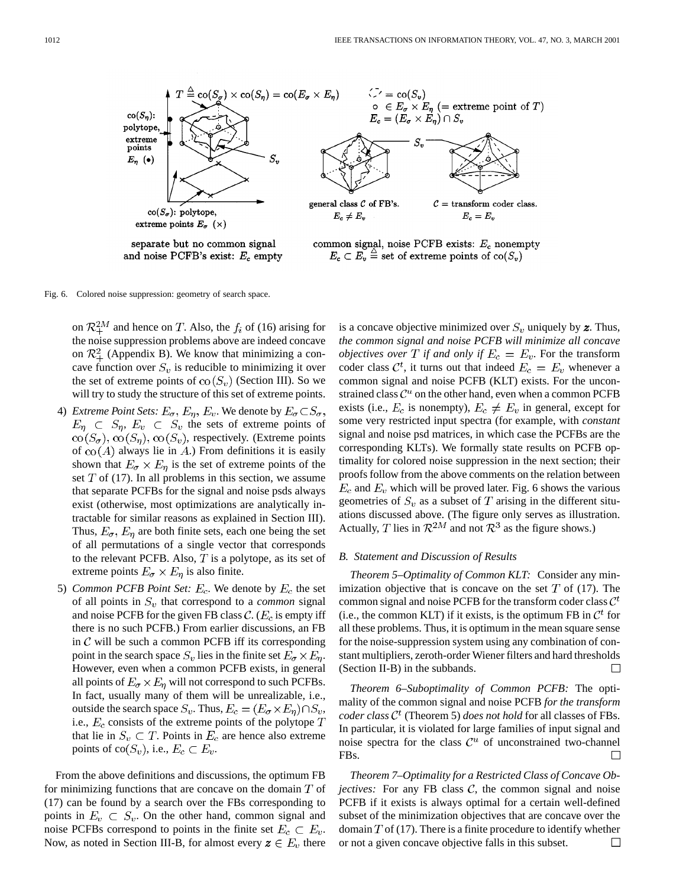

separate but no common signal and noise PCFB's exist:  $E_c$  empty



 $E_c \subset E_v \stackrel{\triangle}{=}$  set of extreme points of  $co(S_v)$ 

#### Fig. 6. Colored noise suppression: geometry of search space.

on  $\mathcal{R}_+^{2M}$  and hence on T. Also, the  $f_i$  of (16) arising for the noise suppression problems above are indeed concave on  $\mathcal{R}_+^2$  (Appendix B). We know that minimizing a concave function over  $S_v$  is reducible to minimizing it over the set of extreme points of  $\text{co}(S_v)$  (Section III). So we will try to study the structure of this set of extreme points.

- 4) *Extreme Point Sets:*  $E_{\sigma}$ ,  $E_{\eta}$ ,  $E_{\nu}$ . We denote by  $E_{\sigma} \subset S_{\sigma}$ ,  $E_{\eta} \subset S_{\eta}, E_{\nu} \subset S_{\nu}$  the sets of extreme points of  $\text{co}(S_{\sigma}), \text{co}(S_{\eta}), \text{co}(S_{\nu})$ , respectively. (Extreme points of  $co(A)$  always lie in A.) From definitions it is easily shown that  $E_{\sigma} \times E_{\eta}$  is the set of extreme points of the set  $T$  of (17). In all problems in this section, we assume that separate PCFBs for the signal and noise psds always exist (otherwise, most optimizations are analytically intractable for similar reasons as explained in Section III). Thus,  $E_{\sigma}$ ,  $E_{n}$  are both finite sets, each one being the set of all permutations of a single vector that corresponds to the relevant PCFB. Also,  $T$  is a polytope, as its set of extreme points  $E_{\sigma} \times E_{\eta}$  is also finite.
- 5) *Common PCFB Point Set:*  $E_c$ . We denote by  $E_c$  the set of all points in  $S_v$  that correspond to a *common* signal and noise PCFB for the given FB class  $\mathcal{C}$ . ( $E_c$  is empty iff there is no such PCFB.) From earlier discussions, an FB in  $C$  will be such a common PCFB iff its corresponding point in the search space  $S_v$  lies in the finite set  $E_{\sigma} \times E_{\eta}$ . However, even when a common PCFB exists, in general all points of  $E_{\sigma} \times E_{\eta}$  will not correspond to such PCFBs. In fact, usually many of them will be unrealizable, i.e., outside the search space  $S_v$ . Thus,  $E_c = (E_{\sigma} \times E_{\eta}) \cap S_v$ , i.e.,  $E_c$  consists of the extreme points of the polytope  $T$ that lie in  $S_v \subset T$ . Points in  $E_c$  are hence also extreme points of co( $S_v$ ), i.e.,  $E_c \subset E_v$ .

From the above definitions and discussions, the optimum FB for minimizing functions that are concave on the domain  $T$  of (17) can be found by a search over the FBs corresponding to points in  $E_v \subset S_v$ . On the other hand, common signal and noise PCFBs correspond to points in the finite set  $E_c \subset E_v$ . Now, as noted in Section III-B, for almost every  $z \in E_v$  there is a concave objective minimized over  $S_v$  uniquely by z. Thus, *the common signal and noise PCFB will minimize all concave objectives over T if and only if*  $E_c = E_v$ . For the transform coder class  $\mathcal{C}^t$ , it turns out that indeed  $E_c = E_v$  whenever a common signal and noise PCFB (KLT) exists. For the unconstrained class  $\mathcal{C}^u$  on the other hand, even when a common PCFB exists (i.e.,  $E_c$  is nonempty),  $E_c \neq E_v$  in general, except for some very restricted input spectra (for example, with *constant* signal and noise psd matrices, in which case the PCFBs are the corresponding KLTs). We formally state results on PCFB optimality for colored noise suppression in the next section; their proofs follow from the above comments on the relation between  $E_c$  and  $E_v$  which will be proved later. Fig. 6 shows the various geometries of  $S_v$  as a subset of T arising in the different situations discussed above. (The figure only serves as illustration. Actually, T lies in  $\mathcal{R}^{2M}$  and not  $\mathcal{R}^3$  as the figure shows.)

# *B. Statement and Discussion of Results*

*Theorem 5–Optimality of Common KLT:* Consider any minimization objective that is concave on the set  $T$  of (17). The common signal and noise PCFB for the transform coder class  $\mathcal{C}^t$ (i.e., the common KLT) if it exists, is the optimum FB in  $\mathcal{C}^t$  for all these problems. Thus, it is optimum in the mean square sense for the noise-suppression system using any combination of constant multipliers, zeroth-order Wiener filters and hard thresholds (Section II-B) in the subbands. П

*Theorem 6–Suboptimality of Common PCFB:* The optimality of the common signal and noise PCFB *for the transform coder class*  $C^t$  (Theorem 5) *does not hold* for all classes of FBs. In particular, it is violated for large families of input signal and noise spectra for the class  $\mathcal{C}^u$  of unconstrained two-channel FBs.  $\Box$ 

*Theorem 7–Optimality for a Restricted Class of Concave Objectives:* For any FB class  $C$ , the common signal and noise PCFB if it exists is always optimal for a certain well-defined subset of the minimization objectives that are concave over the domain  $T$  of (17). There is a finite procedure to identify whether or not a given concave objective falls in this subset. $\Box$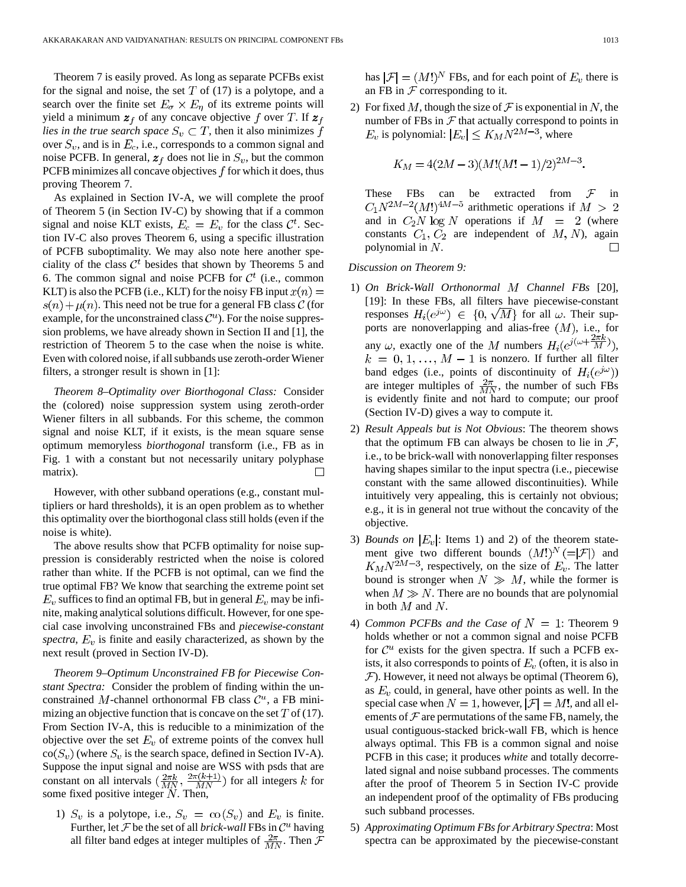Theorem 7 is easily proved. As long as separate PCFBs exist for the signal and noise, the set  $T$  of (17) is a polytope, and a search over the finite set  $E_{\sigma} \times E_{\eta}$  of its extreme points will yield a minimum  $z_f$  of any concave objective f over T. If  $z_f$ *lies in the true search space*  $S_v \subset T$ , then it also minimizes f over  $S_v$ , and is in  $E_c$ , i.e., corresponds to a common signal and noise PCFB. In general,  $z_f$  does not lie in  $S_v$ , but the common PCFB minimizes all concave objectives  $f$  for which it does, thus proving Theorem 7.

As explained in Section IV-A, we will complete the proof of Theorem 5 (in Section IV-C) by showing that if a common signal and noise KLT exists,  $E_c = E_v$  for the class  $C<sup>t</sup>$ . Section IV-C also proves Theorem 6, using a specific illustration of PCFB suboptimality. We may also note here another speciality of the class  $\mathcal{C}^t$  besides that shown by Theorems 5 and 6. The common signal and noise PCFB for  $\mathcal{C}^t$  (i.e., common KLT) is also the PCFB (i.e., KLT) for the noisy FB input  $x(n) =$  $s(n) + \mu(n)$ . This need not be true for a general FB class C (for example, for the unconstrained class  $\mathcal{C}^u$ ). For the noise suppression problems, we have already shown in Section II and [1], the restriction of Theorem 5 to the case when the noise is white. Even with colored noise, if all subbands use zeroth-order Wiener filters, a stronger result is shown in [1]:

*Theorem 8–Optimality over Biorthogonal Class:* Consider the (colored) noise suppression system using zeroth-order Wiener filters in all subbands. For this scheme, the common signal and noise KLT, if it exists, is the mean square sense optimum memoryless *biorthogonal* transform (i.e., FB as in Fig. 1 with a constant but not necessarily unitary polyphase matrix). П

However, with other subband operations (e.g., constant multipliers or hard thresholds), it is an open problem as to whether this optimality over the biorthogonal class still holds (even if the noise is white).

The above results show that PCFB optimality for noise suppression is considerably restricted when the noise is colored rather than white. If the PCFB is not optimal, can we find the true optimal FB? We know that searching the extreme point set  $E_v$  suffices to find an optimal FB, but in general  $E_v$  may be infinite, making analytical solutions difficult. However, for one special case involving unconstrained FBs and *piecewise-constant spectra*,  $E_v$  is finite and easily characterized, as shown by the next result (proved in Section IV-D).

*Theorem 9–Optimum Unconstrained FB for Piecewise Constant Spectra:* Consider the problem of finding within the unconstrained M-channel orthonormal FB class  $\mathcal{C}^u$ , a FB minimizing an objective function that is concave on the set  $T$  of (17). From Section IV-A, this is reducible to a minimization of the objective over the set  $E_v$  of extreme points of the convex hull  $co(S_v)$  (where  $S_v$  is the search space, defined in Section IV-A). Suppose the input signal and noise are WSS with psds that are constant on all intervals  $\left(\frac{2\pi k}{MN}, \frac{2\pi (k+1)}{MN}\right)$  for all integers k for some fixed positive integer  $N$ . Then,

1)  $S_v$  is a polytope, i.e.,  $S_v = \text{co}(S_v)$  and  $E_v$  is finite. Further, let  $\mathcal F$  be the set of all *brick-wall* FBs in  $\mathcal C^u$  having all filter band edges at integer multiples of  $\frac{2\pi}{MN}$ . Then  $\bar{\mathcal{F}}$  has  $|\mathcal{F}| = (M!)^N$  FBs, and for each point of  $E_v$  there is an FB in  $\mathcal F$  corresponding to it.

2) For fixed M, though the size of  $\mathcal F$  is exponential in N, the number of FBs in  $\mathcal F$  that actually correspond to points in  $E_v$  is polynomial:  $|E_v| \le K_M N^{2M-3}$ , where

$$
K_M = 4(2M - 3)(M!(M! - 1)/2)^{2M - 3}
$$

These FBs can be extracted from  $\mathcal{F}$  in  $C_1 N^{2M-2}(M!)^{4M-5}$  arithmetic operations if  $M > 2$ and in  $C_2N \log N$  operations if  $M = 2$  (where constants  $C_1, C_2$  are independent of  $M, N$ ), again polynomial in  $N$ .

*Discussion on Theorem 9:*

- 1) *On Brick-Wall Orthonormal Channel FBs* [20], [19]: In these FBs, all filters have piecewise-constant responses  $H_i(e^{j\omega}) \in \{0, \sqrt{M}\}\$ for all  $\omega$ . Their supports are nonoverlapping and alias-free  $(M)$ , i.e., for any  $\omega$ , exactly one of the M numbers  $H_i(e^{j(\omega + \frac{2\pi k}{M})})$ ,  $k = 0, 1, \ldots, M - 1$  is nonzero. If further all filter band edges (i.e., points of discontinuity of  $H_i(e^{j\omega})$ ) are integer multiples of  $\frac{2\pi}{MN}$ , the number of such FBs is evidently finite and not hard to compute; our proof (Section IV-D) gives a way to compute it.
- 2) *Result Appeals but is Not Obvious*: The theorem shows that the optimum FB can always be chosen to lie in  $\mathcal{F}$ , i.e., to be brick-wall with nonoverlapping filter responses having shapes similar to the input spectra (i.e., piecewise constant with the same allowed discontinuities). While intuitively very appealing, this is certainly not obvious; e.g., it is in general not true without the concavity of the objective.
- 3) *Bounds on*  $|E_v|$ : Items 1) and 2) of the theorem statement give two different bounds  $(M!)^N (=|\mathcal{F}|)$  and  $K_M N^{2M-3}$ , respectively, on the size of  $E_v$ . The latter bound is stronger when  $N \gg M$ , while the former is when  $M \gg N$ . There are no bounds that are polynomial in both  $M$  and  $N$ .
- 4) *Common PCFBs and the Case of*  $N = 1$ : Theorem 9 holds whether or not a common signal and noise PCFB for  $\mathcal{C}^u$  exists for the given spectra. If such a PCFB exists, it also corresponds to points of  $E<sub>v</sub>$  (often, it is also in  $(F)$ . However, it need not always be optimal (Theorem 6), as  $E_v$  could, in general, have other points as well. In the special case when  $N = 1$ , however,  $|\mathcal{F}| = M!$ , and all elements of  $\mathcal F$  are permutations of the same FB, namely, the usual contiguous-stacked brick-wall FB, which is hence always optimal. This FB is a common signal and noise PCFB in this case; it produces *white* and totally decorrelated signal and noise subband processes. The comments after the proof of Theorem 5 in Section IV-C provide an independent proof of the optimality of FBs producing such subband processes.
- 5) *Approximating Optimum FBs for Arbitrary Spectra*: Most spectra can be approximated by the piecewise-constant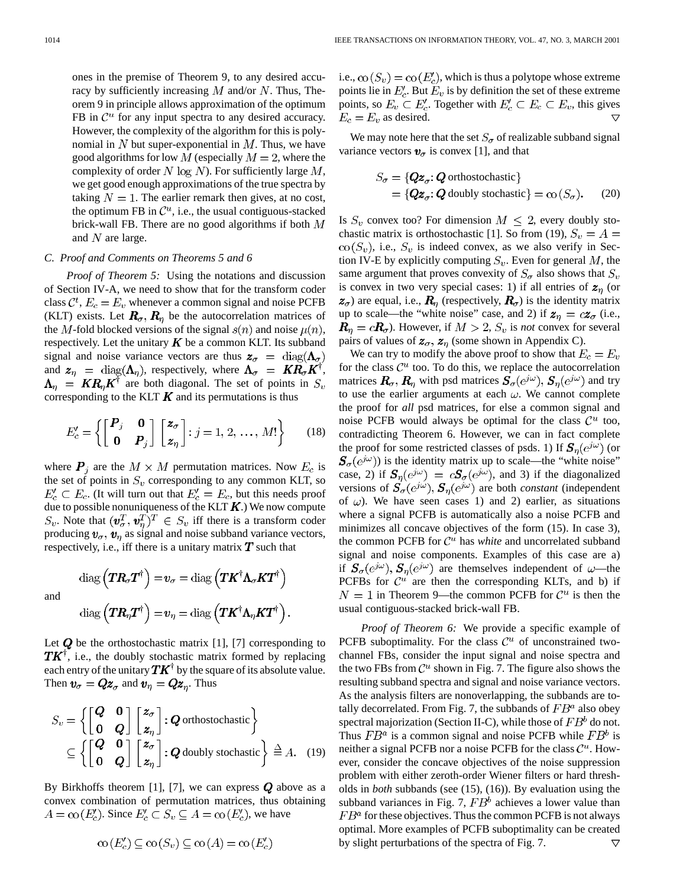ones in the premise of Theorem 9, to any desired accuracy by sufficiently increasing  $M$  and/or  $N$ . Thus, Theorem 9 in principle allows approximation of the optimum FB in  $\mathcal{C}^u$  for any input spectra to any desired accuracy. However, the complexity of the algorithm for this is polynomial in N but super-exponential in  $M$ . Thus, we have good algorithms for low M (especially  $M = 2$ , where the complexity of order  $N \log N$ ). For sufficiently large  $M$ , we get good enough approximations of the true spectra by taking  $N = 1$ . The earlier remark then gives, at no cost, the optimum FB in  $\mathcal{C}^u$ , i.e., the usual contiguous-stacked brick-wall FB. There are no good algorithms if both  $M$ and  $N$  are large.

# *C. Proof and Comments on Theorems 5 and 6*

*Proof of Theorem 5:* Using the notations and discussion of Section IV-A, we need to show that for the transform coder class  $\mathcal{C}^t$ ,  $E_c = E_v$  whenever a common signal and noise PCFB (KLT) exists. Let  $\mathbf{R}_{\sigma}$ ,  $\mathbf{R}_{\eta}$  be the autocorrelation matrices of the M-fold blocked versions of the signal  $s(n)$  and noise  $\mu(n)$ , respectively. Let the unitary  $K$  be a common KLT. Its subband signal and noise variance vectors are thus  $z_{\sigma} = \text{diag}(\Lambda_{\sigma})$ and  $z_{\eta}$  = diag( $\Lambda_{\eta}$ ), respectively, where  $\Lambda_{\sigma}$  =  $KR_{\sigma}K^{\dagger}$ ,  $\mathbf{\Lambda}_n = \mathbf{K} \mathbf{R}_n \mathbf{K}^\dagger$  are both diagonal. The set of points in  $S_v$ corresponding to the KLT  $\boldsymbol{K}$  and its permutations is thus

$$
E_c' = \left\{ \begin{bmatrix} P_j & \mathbf{0} \\ \mathbf{0} & P_j \end{bmatrix} \begin{bmatrix} \mathbf{z}_\sigma \\ \mathbf{z}_\eta \end{bmatrix} : j = 1, 2, \dots, M! \right\} \tag{18}
$$

where  $P_j$  are the  $M \times M$  permutation matrices. Now  $E_c$  is the set of points in  $S_v$  corresponding to any common KLT, so  $E_c' \subset E_c$ . (It will turn out that  $E_c' = E_c$ , but this needs proof due to possible nonuniqueness of the KLT  $K$ .) We now compute  $S_v$ . Note that  $(\mathbf{v}_\sigma^T, \mathbf{v}_\eta^T)^T \in S_v$  iff there is a transform coder producing  $v_{\sigma}$ ,  $v_{\eta}$  as signal and noise subband variance vectors, respectively, i.e., iff there is a unitary matrix  $T$  such that

and

$$
\text{diag}\left(\boldsymbol{T}\boldsymbol{R}_{\eta}\boldsymbol{T}^{\dagger}\right)=\boldsymbol{v}_{\eta}=\text{diag}\left(\boldsymbol{T}\boldsymbol{K}^{\dagger}\boldsymbol{\Lambda}_{\eta}\boldsymbol{K}\boldsymbol{T}^{\dagger}\right).
$$

 $\text{diag}\left(\boldsymbol{T}\boldsymbol{R}_{\sigma}\boldsymbol{T}^{\dagger}\right)=\boldsymbol{v}_{\sigma}=\text{diag}\left(\boldsymbol{T}\boldsymbol{K}^{\dagger}\boldsymbol{\Lambda}_{\sigma}\boldsymbol{K}\boldsymbol{T}^{\dagger}\right)$ 

Let  $Q$  be the orthostochastic matrix [1], [7] corresponding to  $T K^{\dagger}$ , i.e., the doubly stochastic matrix formed by replacing each entry of the unitary  $T K^{\dagger}$  by the square of its absolute value. Then  $v_{\sigma} = Qz_{\sigma}$  and  $v_{\eta} = Qz_{\eta}$ . Thus

$$
S_v = \left\{ \begin{bmatrix} \mathbf{Q} & \mathbf{0} \\ \mathbf{0} & \mathbf{Q} \end{bmatrix} \begin{bmatrix} z_{\sigma} \\ z_{\eta} \end{bmatrix} : \mathbf{Q} \text{ orthostochastic} \right\}
$$
  

$$
\subseteq \left\{ \begin{bmatrix} \mathbf{Q} & \mathbf{0} \\ \mathbf{0} & \mathbf{Q} \end{bmatrix} \begin{bmatrix} z_{\sigma} \\ z_{\eta} \end{bmatrix} : \mathbf{Q} \text{ doubly stochastic} \right\} \triangleq A. (19)
$$

By Birkhoffs theorem [1], [7], we can express  $Q$  above as a convex combination of permutation matrices, thus obtaining  $A = \text{co}(E_c')$ . Since  $E_c' \subset S_v \subseteq A = \text{co}(E_c')$ , we have

$$
\operatorname{co}(E_c') \subseteq \operatorname{co}(S_v) \subseteq \operatorname{co}(A) = \operatorname{co}(E_c')
$$

i.e.,  $\cos(S_v) = \cos(E'_c)$ , which is thus a polytope whose extreme points lie in  $E_c'$ . But  $E_v$  is by definition the set of these extreme points, so  $E_v \subset E_c'$ . Together with  $E_c' \subset E_c \subset E_v$ , this gives  $E_c = E_v$  as desired.

We may note here that the set  $S_{\sigma}$  of realizable subband signal variance vectors  $v_{\sigma}$  is convex [1], and that

$$
S_{\sigma} = \{Qz_{\sigma}: \mathbf{Q} \text{ orthostochastic}\}\
$$

$$
= \{Qz_{\sigma}: \mathbf{Q} \text{ doubly stochastic}\} = \text{co}(S_{\sigma}). \qquad (20)
$$

Is  $S_v$  convex too? For dimension  $M \leq 2$ , every doubly stochastic matrix is orthostochastic [1]. So from (19),  $S_v = A =$  $co(S_v)$ , i.e.,  $S_v$  is indeed convex, as we also verify in Section IV-E by explicitly computing  $S_v$ . Even for general M, the same argument that proves convexity of  $S_{\sigma}$  also shows that  $S_{\nu}$ is convex in two very special cases: 1) if all entries of  $z_n$  (or  $z_{\sigma}$ ) are equal, i.e.,  $R_{\eta}$  (respectively,  $R_{\sigma}$ ) is the identity matrix up to scale—the "white noise" case, and 2) if  $z_n = cz_\sigma$  (i.e.,  $\mathbf{R}_n = c\mathbf{R}_{\sigma}$ ). However, if  $M > 2$ ,  $S_v$  is *not* convex for several pairs of values of  $\mathbf{z}_{\sigma}$ ,  $\mathbf{z}_{\eta}$  (some shown in Appendix C).

We can try to modify the above proof to show that  $E_c = E_v$ for the class  $\mathcal{C}^u$  too. To do this, we replace the autocorrelation matrices  $\mathbf{R}_{\sigma}$ ,  $\mathbf{R}_{\eta}$  with psd matrices  $\mathbf{S}_{\sigma}(e^{j\omega})$ ,  $\mathbf{S}_{\eta}(e^{j\omega})$  and try to use the earlier arguments at each  $\omega$ . We cannot complete the proof for *all* psd matrices, for else a common signal and noise PCFB would always be optimal for the class  $\mathcal{C}^u$  too, contradicting Theorem 6. However, we can in fact complete the proof for some restricted classes of psds. 1) If  $S_n(e^{j\omega})$  (or  $S_{\sigma}(e^{j\omega})$ ) is the identity matrix up to scale—the "white noise" case, 2) if  $S_n(e^{j\omega}) = cS_\sigma(e^{j\omega})$ , and 3) if the diagonalized versions of  $S_{\sigma}(e^{j\omega})$ ,  $S_{\eta}(e^{j\omega})$  are both *constant* (independent of  $\omega$ ). We have seen cases 1) and 2) earlier, as situations where a signal PCFB is automatically also a noise PCFB and minimizes all concave objectives of the form (15). In case 3), the common PCFB for  $\mathcal{C}^u$  has *white* and uncorrelated subband signal and noise components. Examples of this case are a) if  $S_{\sigma}(e^{j\omega}), S_{\eta}(e^{j\omega})$  are themselves independent of  $\omega$ —the PCFBs for  $\mathcal{C}^u$  are then the corresponding KLTs, and b) if  $N = 1$  in Theorem 9—the common PCFB for  $\mathcal{C}^u$  is then the usual contiguous-stacked brick-wall FB.

*Proof of Theorem 6:* We provide a specific example of PCFB suboptimality. For the class  $\mathcal{C}^u$  of unconstrained twochannel FBs, consider the input signal and noise spectra and the two FBs from  $\mathcal{C}^u$  shown in Fig. 7. The figure also shows the resulting subband spectra and signal and noise variance vectors. As the analysis filters are nonoverlapping, the subbands are totally decorrelated. From Fig. 7, the subbands of  $FB^a$  also obey spectral majorization (Section II-C), while those of  $FB<sup>b</sup>$  do not. Thus  $FB^a$  is a common signal and noise PCFB while  $FB^b$  is neither a signal PCFB nor a noise PCFB for the class  $\mathcal{C}^u$ . However, consider the concave objectives of the noise suppression problem with either zeroth-order Wiener filters or hard thresholds in *both* subbands (see (15), (16)). By evaluation using the subband variances in Fig. 7,  $FB<sup>b</sup>$  achieves a lower value than  $FB<sup>a</sup>$  for these objectives. Thus the common PCFB is not always optimal. More examples of PCFB suboptimality can be created by slight perturbations of the spectra of Fig. 7. $\overline{\nabla}$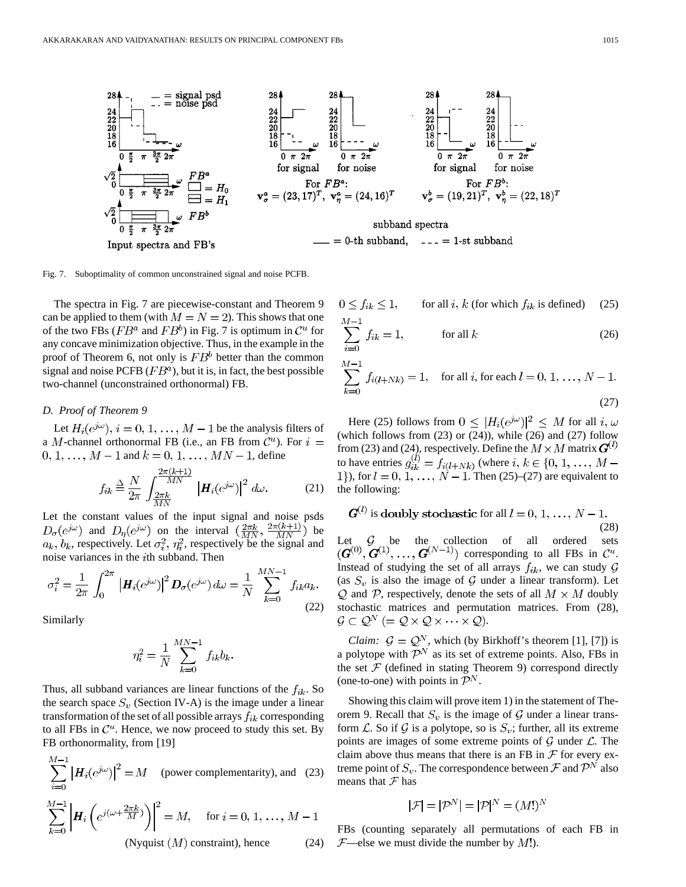

Fig. 7. Suboptimality of common unconstrained signal and noise PCFB.

The spectra in Fig. 7 are piecewise-constant and Theorem 9 can be applied to them (with  $M = N = 2$ ). This shows that one of the two FBs ( $FB^a$  and  $FB^b$ ) in Fig. 7 is optimum in  $\mathcal{C}^u$  for any concave minimization objective. Thus, in the example in the proof of Theorem 6, not only is  $FB^b$  better than the common signal and noise PCFB  $(FB^a)$ , but it is, in fact, the best possible two-channel (unconstrained orthonormal) FB.

# *D. Proof of Theorem 9*

Let  $H_i(e^{j\omega})$ ,  $i = 0, 1, ..., M-1$  be the analysis filters of a M-channel orthonormal FB (i.e., an FB from  $\mathcal{C}^u$ ). For  $i =$  $0, 1, \ldots, M-1$  and  $k = 0, 1, \ldots, MN-1$ , define

$$
f_{ik} \stackrel{\Delta}{=} \frac{N}{2\pi} \int_{\frac{2\pi k}{MN}}^{\frac{2\pi(k+1)}{MN}} \left| \mathbf{H}_i(e^{j\omega}) \right|^2 d\omega. \tag{21}
$$

Let the constant values of the input signal and noise psds and  $D_n(e^{j\omega})$  on the interval  $\left(\frac{2\pi k}{MN}, \frac{2\pi(k+1)}{MN}\right)$  be , respectively. Let  $\sigma_i^2$ ,  $\eta_i^2$ , respectively be the signal and noise variances in the  $i$ th subband. Then

$$
\sigma_i^2 = \frac{1}{2\pi} \int_0^{2\pi} \left| H_i(e^{j\omega}) \right|^2 D_{\sigma}(e^{j\omega}) d\omega = \frac{1}{N} \sum_{k=0}^{MN-1} f_{ik} a_k.
$$
\n(22)

Similarly

$$
\eta_i^2 = \frac{1}{N} \sum_{k=0}^{MN-1} f_{ik} b_k.
$$

Thus, all subband variances are linear functions of the  $f_{ik}$ . So the search space  $S_v$  (Section IV-A) is the image under a linear transformation of the set of all possible arrays  $f_{ik}$  corresponding to all FBs in  $\mathcal{C}^u$ . Hence, we now proceed to study this set. By FB orthonormality, from [19]

$$
\sum_{i=0}^{M-1} |H_i(e^{j\omega})|^2 = M \quad \text{(power complementarity), and} \quad (23)
$$
\n
$$
\sum_{k=0}^{M-1} |H_i\left(e^{j(\omega + \frac{2\pi k}{M})}\right)|^2 = M, \quad \text{for } i = 0, 1, \dots, M-1
$$
\n(Nyquist *(M)* constraint), hence (24)

$$
0 \le f_{ik} \le 1
$$
, for all *i*, *k* (for which  $f_{ik}$  is defined) (25)  
 $M-1$ 

$$
\sum_{i=0}^{k} f_{ik} = 1, \qquad \text{for all } k \tag{26}
$$

$$
\sum_{k=0}^{M-1} f_{i(l+Nk)} = 1, \text{ for all } i, \text{ for each } l = 0, 1, ..., N-1.
$$
 (27)

Here (25) follows from  $0 \leq |H_i(e^{j\omega})|^2 \leq M$  for all i,  $\omega$ (which follows from  $(23)$  or  $(24)$ ), while  $(26)$  and  $(27)$  follow from (23) and (24), respectively. Define the  $M \times M$  matrix  $\mathbf{G}^{(l)}$ to have entries  $g_{ik}^{(l)} = f_{i(l+Nk)}$  (where  $i, k \in \{0, 1, ..., M -$ 1}), for  $l = 0, 1, ..., N - 1$ . Then (25)–(27) are equivalent to the following:

$$
\mathbf{G}^{(l)}
$$
 is doubly stochastic for all  $l = 0, 1, ..., N - 1$ . (28)  
et  $\mathcal{G}$  be the collection of all ordered sets

Let  $G$  be the collection of all ordered sets corresponding to all FBs in  $\mathcal{C}^u$ . Instead of studying the set of all arrays  $f_{ik}$ , we can study  $\mathcal G$ (as  $S_v$  is also the image of G under a linear transform). Let  $\mathcal Q$  and  $\mathcal P$ , respectively, denote the sets of all  $M \times M$  doubly stochastic matrices and permutation matrices. From (28),  $\mathcal{G} \subset \mathcal{Q}^N \ (= \mathcal{Q} \times \mathcal{Q} \times \cdots \times \mathcal{Q}).$ 

*Claim:*  $\mathcal{G} = \mathcal{Q}^N$ , which (by Birkhoff's theorem [1], [7]) is a polytope with  $\mathcal{P}^N$  as its set of extreme points. Also, FBs in the set  $F$  (defined in stating Theorem 9) correspond directly (one-to-one) with points in  $\mathcal{P}^N$ .

Showing this claim will prove item 1) in the statement of Theorem 9. Recall that  $S_v$  is the image of G under a linear transform  $\mathcal{L}$ . So if  $\mathcal{G}$  is a polytope, so is  $S_v$ ; further, all its extreme points are images of some extreme points of  $G$  under  $\mathcal{L}$ . The claim above thus means that there is an FB in  $\mathcal F$  for every extreme point of  $S_v$ . The correspondence between F and  $\mathcal{P}^N$  also means that  ${\mathcal F}$  has

$$
|\mathcal{F}| = |\mathcal{P}^N| = |\mathcal{P}|^N = (M!)^N
$$

FBs (counting separately all permutations of each FB in  $\mathcal{F}$ —else we must divide the number by M!).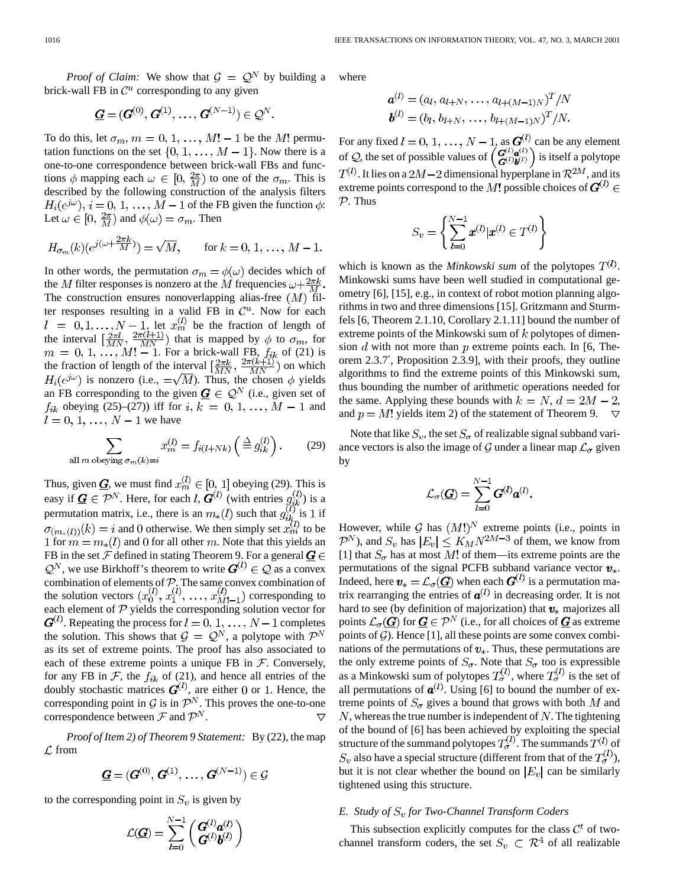*Proof of Claim:* We show that  $G = \mathcal{Q}^N$  by building a brick-wall FB in  $\mathcal{C}^u$  corresponding to any given

$$
\underline{\bm{G}} = (\bm{G}^{(0)}, \bm{G}^{(1)}, \ldots, \bm{G}^{(N-1)}) \in \mathcal{Q}^N.
$$

To do this, let  $\sigma_m$ ,  $m = 0, 1, ..., M! - 1$  be the M! permutation functions on the set  $\{0, 1, \ldots, M-1\}$ . Now there is a one-to-one correspondence between brick-wall FBs and functions  $\phi$  mapping each  $\omega \in [0, \frac{2\pi}{M})$  to one of the  $\sigma_m$ . This is described by the following construction of the analysis filters  $H_i(e^{j\omega}), i = 0, 1, ..., M-1$  of the FB given the function  $\phi$ : Let  $\omega \in [0, \frac{2\pi}{M})$  and  $\phi(\omega) = \sigma_m$ . Then

$$
H_{\sigma_m}(k)(e^{j(\omega + \frac{2\pi k}{M})}) = \sqrt{M}, \quad \text{for } k = 0, 1, \dots, M-1.
$$

In other words, the permutation  $\sigma_m = \phi(\omega)$  decides which of the M filter responses is nonzero at the M frequencies  $\omega + \frac{2\pi k}{M}$ . The construction ensures nonoverlapping alias-free  $(M)$  filter responses resulting in a valid FB in  $\mathcal{C}^u$ . Now for each let  $x_m^{(i)}$  be the fraction of length of the interval  $\left[\frac{2\pi l}{MN}, \frac{2\pi (l+1)}{MN}\right]$  that is mapped by  $\phi$  to  $\sigma_m$ , for . For a brick-wall FB,  $f_{ik}$  of (21) is the fraction of length of the interval  $\left[\frac{2\pi k}{MN}, \frac{2\pi (k+1)}{MN}\right)$  on which  $H_i(e^{j\omega})$  is nonzero (i.e.,  $=\sqrt{M}$ ). Thus, the chosen  $\phi$  yields an FB corresponding to the given  $\underline{G} \in \mathcal{Q}^N$  (i.e., given set of  $f_{ik}$  obeying (25)–(27)) iff for  $i, k = 0, 1, ..., M - 1$  and  $l = 0, 1, ..., N - 1$  we have

$$
\sum_{\text{all } m \text{ obeying } \sigma_m(k)=i} x_m^{(l)} = f_{i(l+Nk)} \left( \stackrel{\Delta}{=} g_{ik}^{(l)} \right). \tag{29}
$$

Thus, given  $\underline{G}$ , we must find  $x_m^{(t)} \in [0, 1]$  obeying (29). This is easy if  $\mathbf{G} \in \mathcal{P}^N$ . Here, for each l,  $\mathbf{G}^{(l)}$  (with entries  $g_{ik}^{(l)}$ ) is a permutation matrix, i.e., there is an  $m_*(l)$  such that  $g_{ik}^{(l)}$  is 1 if and 0 otherwise. We then simply set  $x_m^{(l)}$  to be 1 for  $m = m_*(l)$  and 0 for all other m. Note that this yields an FB in the set  $\mathcal F$  defined in stating Theorem 9. For a general  $\mathbf G \in$  $\mathcal{Q}^N$ , we use Birkhoff's theorem to write  $\mathbf{G}^{(l)} \in \mathcal{Q}$  as a convex combination of elements of  $P$ . The same convex combination of the solution vectors  $(x_0^{(i)}, x_1^{(i)}, \ldots, x_{M-1}^{(i)})$  corresponding to each element of  $P$  yields the corresponding solution vector for  $\mathbf{G}^{(l)}$ . Repeating the process for  $l = 0, 1, ..., N - 1$  completes the solution. This shows that  $\mathcal{G} = \mathcal{Q}^N$ , a polytope with  $\mathcal{P}^N$ as its set of extreme points. The proof has also associated to each of these extreme points a unique FB in  $F$ . Conversely, for any FB in  $\mathcal{F}$ , the  $f_{ik}$  of (21), and hence all entries of the doubly stochastic matrices  $\mathbf{G}^{(l)}$ , are either 0 or 1. Hence, the corresponding point in  $\mathcal G$  is in  $\mathcal P^N$ . This proves the one-to-one correspondence between  $\mathcal F$  and  $\mathcal P^N$ . ▽

*Proof of Item 2) of Theorem 9 Statement:* By (22), the map  $\mathcal L$  from

$$
\underline{\pmb{G}}=(\pmb{G}^{(0)},\pmb{G}^{(1)},\ldots,\pmb{G}^{(N-1)})\in\mathcal{G}
$$

to the corresponding point in  $S_v$  is given by

$$
\mathcal{L}(\mathbf{G}) = \sum_{l=0}^{N-1} \left( \begin{matrix} \mathbf{G}^{(l)} \boldsymbol{a}^{(l)} \\ \mathbf{G}^{(l)} \boldsymbol{b}^{(l)} \end{matrix} \right)
$$

where

$$
\mathbf{a}^{(l)} = (a_l, a_{l+N}, \dots, a_{l+(M-1)N})^T / N
$$

$$
\mathbf{b}^{(l)} = (b_l, b_{l+N}, \dots, b_{l+(M-1)N})^T / N.
$$

For any fixed  $l = 0, 1, ..., N - 1$ , as  $G^{(l)}$  can be any element of Q, the set of possible values of  $\begin{pmatrix} G^{(i)} \mathbf{a}^{(i)} \\ G^{(i)} \mathbf{b}^{(i)} \end{pmatrix}$  is itself a polytope  $T^{(l)}$ . It lies on a  $2M-2$  dimensional hyperplane in  $\mathcal{R}^{2M}$ , and its extreme points correspond to the M! possible choices of  $\mathbf{G}^{(l)}$   $\in$  $P.$  Thus

$$
S_v = \left\{ \sum_{l=0}^{N-1} \bm{x}^{(l)} | \bm{x}^{(l)} \in T^{(l)} \right\}
$$

which is known as the *Minkowski sum* of the polytopes  $T^{(l)}$ . Minkowski sums have been well studied in computational geometry [6], [15], e.g., in context of robot motion planning algorithms in two and three dimensions [15]. Gritzmann and Sturmfels [6, Theorem 2.1.10, Corollary 2.1.11] bound the number of extreme points of the Minkowski sum of  $k$  polytopes of dimension  $d$  with not more than  $p$  extreme points each. In [6, Theorem 2.3.7′, Proposition 2.3.9], with their proofs, they outline algorithms to find the extreme points of this Minkowski sum, thus bounding the number of arithmetic operations needed for the same. Applying these bounds with  $k = N$ ,  $d = 2M - 2$ , and  $p = M!$  yields item 2) of the statement of Theorem 9.  $\nabla$ 

Note that like  $S_v$ , the set  $S_\sigma$  of realizable signal subband variance vectors is also the image of  $G$  under a linear map  $\mathcal{L}_{\sigma}$  given by

$$
\mathcal{L}_{\sigma}(\underline{\boldsymbol{G}})=\sum_{l=0}^{N-1}\boldsymbol{G}^{(l)}\boldsymbol{a}^{(l)}.
$$

However, while G has  $(M!)^N$  extreme points (i.e., points in ), and  $S_v$  has  $|E_v| \le K_M N^{2M-3}$  of them, we know from [1] that  $S_{\sigma}$  has at most M! of them—its extreme points are the permutations of the signal PCFB subband variance vector  $v_*$ . Indeed, here  $v_* = \mathcal{L}_{\sigma}(\mathbf{G})$  when each  $\mathbf{G}^{(l)}$  is a permutation matrix rearranging the entries of  $a^{(l)}$  in decreasing order. It is not hard to see (by definition of majorization) that  $v_*$  majorizes all points  $\mathcal{L}_{\sigma}(\mathbf{G})$  for  $\mathbf{G} \in \mathcal{P}^N$  (i.e., for all choices of  $\mathbf{G}$  as extreme points of  $G$ ). Hence [1], all these points are some convex combinations of the permutations of  $v_{\ast}$ . Thus, these permutations are the only extreme points of  $S_{\sigma}$ . Note that  $S_{\sigma}$  too is expressible as a Minkowski sum of polytopes  $T_{\sigma}^{(t)}$ , where  $T_{\sigma}^{(t)}$  is the set of all permutations of  $a^{(l)}$ . Using [6] to bound the number of extreme points of  $S_{\sigma}$  gives a bound that grows with both M and  $N$ , whereas the true number is independent of  $N$ . The tightening of the bound of [6] has been achieved by exploiting the special structure of the summand polytopes  $T_{\sigma}^{(l)}$ . The summands  $T^{(l)}$  of  $S_v$  also have a special structure (different from that of the  $T_{\sigma}^{(l)}$ ), but it is not clear whether the bound on  $|E_v|$  can be similarly tightened using this structure.

# *E. Study of for Two-Channel Transform Coders*

This subsection explicitly computes for the class  $\mathcal{C}^t$  of twochannel transform coders, the set  $S_v \subset \mathcal{R}^4$  of all realizable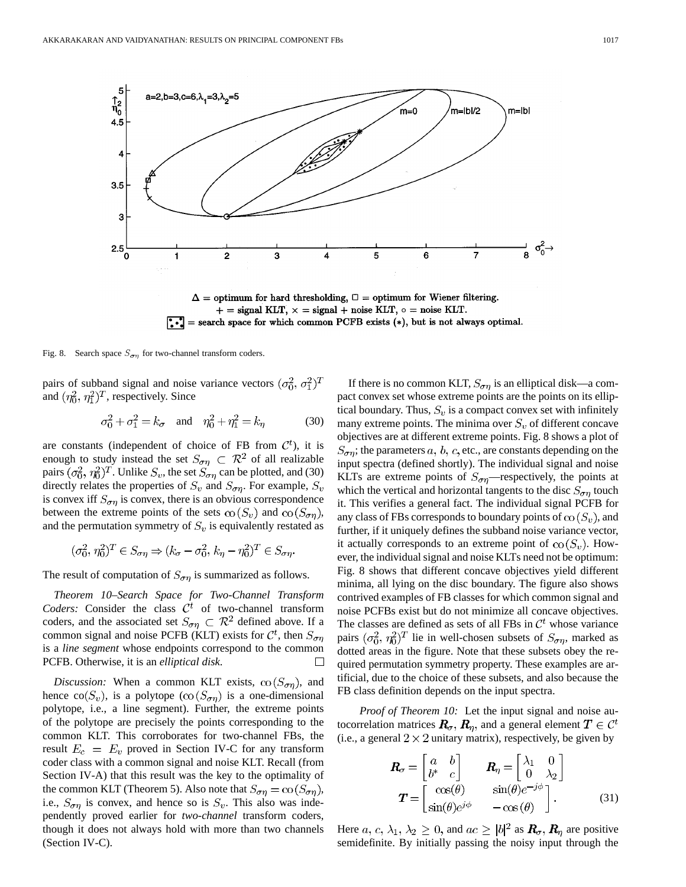

 $\begin{bmatrix} \bullet & \bullet \\ \bullet & \bullet \end{bmatrix}$  = search space for which common PCFB exists (\*), but is not always optimal.

Fig. 8. Search space  $S_{\sigma\eta}$  for two-channel transform coders.

pairs of subband signal and noise variance vectors  $(\sigma_0^2, \sigma_1^2)^T$ and  $(\eta_0^2, \eta_1^2)^T$ , respectively. Since

$$
\sigma_0^2 + \sigma_1^2 = k_\sigma
$$
 and  $\eta_0^2 + \eta_1^2 = k_\eta$  (30)

are constants (independent of choice of FB from  $\mathcal{C}^t$ ), it is enough to study instead the set  $S_{\sigma\eta} \subset \mathbb{R}^2$  of all realizable pairs  $(\sigma_0^2, \eta_0^2)^T$ . Unlike  $S_v$ , the set  $S_{\sigma\eta}$  can be plotted, and (30) directly relates the properties of  $S_v$  and  $S_{\sigma\eta}$ . For example,  $S_v$ is convex iff  $S_{\sigma\eta}$  is convex, there is an obvious correspondence between the extreme points of the sets  $\text{co}(S_v)$  and  $\text{co}(S_{\sigma\eta})$ , and the permutation symmetry of  $S_v$  is equivalently restated as

$$
(\sigma_0^2, \eta_0^2)^T \in S_{\sigma\eta} \Rightarrow (k_\sigma - \sigma_0^2, k_\eta - \eta_0^2)^T \in S_{\sigma\eta}.
$$

The result of computation of  $S_{\sigma\eta}$  is summarized as follows.

*Theorem 10–Search Space for Two-Channel Transform Coders:* Consider the class  $\mathcal{C}^t$  of two-channel transform coders, and the associated set  $S_{\sigma\eta} \subset \mathbb{R}^2$  defined above. If a common signal and noise PCFB (KLT) exists for  $\mathcal{C}^t$ , then  $S_{\sigma\eta}$ is a *line segment* whose endpoints correspond to the common PCFB. Otherwise, it is an *elliptical disk*.  $\Box$ 

*Discussion:* When a common KLT exists,  $\cos(S_{\sigma\eta})$ , and hence  $co(S_v)$ , is a polytope  $(co(S_{\sigma\eta})$  is a one-dimensional polytope, i.e., a line segment). Further, the extreme points of the polytope are precisely the points corresponding to the common KLT. This corroborates for two-channel FBs, the result  $E_c = E_v$  proved in Section IV-C for any transform coder class with a common signal and noise KLT. Recall (from Section IV-A) that this result was the key to the optimality of the common KLT (Theorem 5). Also note that  $S_{\sigma\eta} = \text{co}(S_{\sigma\eta})$ , i.e.,  $S_{\sigma n}$  is convex, and hence so is  $S_{\nu}$ . This also was independently proved earlier for *two-channel* transform coders, though it does not always hold with more than two channels (Section IV-C).

If there is no common KLT,  $S_{\sigma\eta}$  is an elliptical disk—a compact convex set whose extreme points are the points on its elliptical boundary. Thus,  $S_v$  is a compact convex set with infinitely many extreme points. The minima over  $S_v$  of different concave objectives are at different extreme points. Fig. 8 shows a plot of  $S_{\sigma\eta}$ ; the parameters a, b, c, etc., are constants depending on the input spectra (defined shortly). The individual signal and noise KLTs are extreme points of  $S_{\sigma\eta}$ —respectively, the points at which the vertical and horizontal tangents to the disc  $S_{\sigma\eta}$  touch it. This verifies a general fact. The individual signal PCFB for any class of FBs corresponds to boundary points of  $\text{co}(S_v)$ , and further, if it uniquely defines the subband noise variance vector, it actually corresponds to an extreme point of  $\text{co}(S_v)$ . However, the individual signal and noise KLTs need not be optimum: Fig. 8 shows that different concave objectives yield different minima, all lying on the disc boundary. The figure also shows contrived examples of FB classes for which common signal and noise PCFBs exist but do not minimize all concave objectives. The classes are defined as sets of all FBs in  $\mathcal{C}^t$  whose variance pairs  $(\sigma_0^2, \eta_0^2)^T$  lie in well-chosen subsets of  $S_{\sigma\eta}$ , marked as dotted areas in the figure. Note that these subsets obey the required permutation symmetry property. These examples are artificial, due to the choice of these subsets, and also because the FB class definition depends on the input spectra.

*Proof of Theorem 10:* Let the input signal and noise autocorrelation matrices  $\mathbf{R}_{\sigma}$ ,  $\mathbf{R}_{\eta}$ , and a general element  $\mathbf{T} \in \mathcal{C}^t$ (i.e., a general  $2 \times 2$  unitary matrix), respectively, be given by

$$
\mathbf{R}_{\sigma} = \begin{bmatrix} a & b \\ b^* & c \end{bmatrix} \qquad \mathbf{R}_{\eta} = \begin{bmatrix} \lambda_1 & 0 \\ 0 & \lambda_2 \end{bmatrix}
$$

$$
\mathbf{T} = \begin{bmatrix} \cos(\theta) & \sin(\theta)e^{-j\phi} \\ \sin(\theta)e^{j\phi} & -\cos(\theta) \end{bmatrix}.
$$
(31)

Here  $a, c, \lambda_1, \lambda_2 \geq 0$ , and  $ac \geq |b|^2$  as  $\mathbf{R}_{\sigma}, \mathbf{R}_{\eta}$  are positive semidefinite. By initially passing the noisy input through the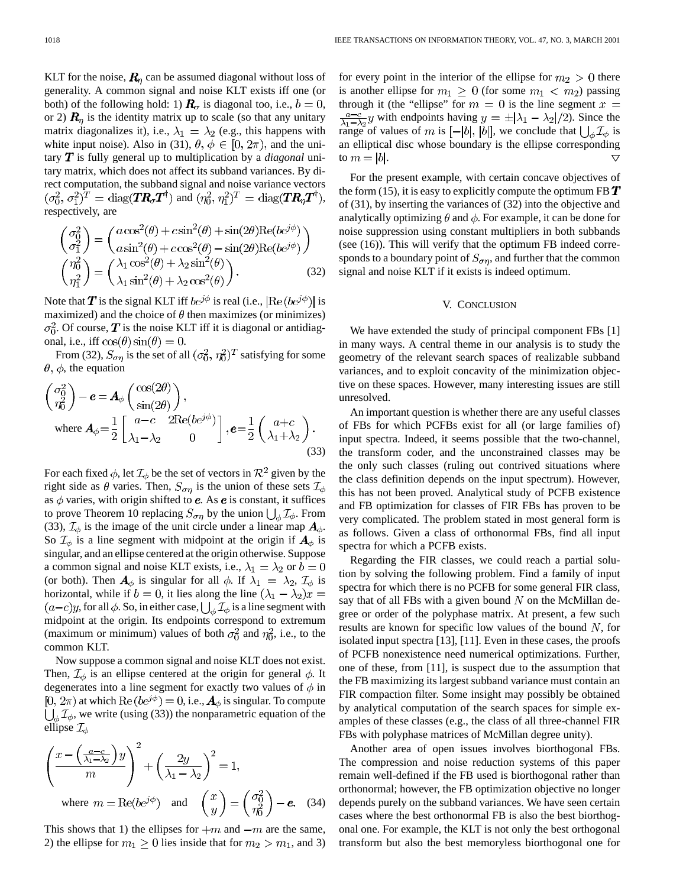KLT for the noise,  $R_{\eta}$  can be assumed diagonal without loss of generality. A common signal and noise KLT exists iff one (or both) of the following hold: 1)  $\mathbf{R}_{\sigma}$  is diagonal too, i.e.,  $b = 0$ , or 2)  $\mathbf{R}_n$  is the identity matrix up to scale (so that any unitary matrix diagonalizes it), i.e.,  $\lambda_1 = \lambda_2$  (e.g., this happens with white input noise). Also in (31),  $\theta$ ,  $\phi \in [0, 2\pi)$ , and the unitary  $T$  is fully general up to multiplication by a *diagonal* unitary matrix, which does not affect its subband variances. By direct computation, the subband signal and noise variance vectors  $(\sigma_0^2, \sigma_1^2)^T = \text{diag}(\boldsymbol{TR}_{\sigma}\boldsymbol{T}^{\dagger})$  and  $(\eta_0^2, \eta_1^2)^T = \text{diag}(\boldsymbol{TR}_{\eta}\boldsymbol{T}^{\dagger}),$ respectively, are

$$
\begin{pmatrix}\n\sigma_0^2 \\
\sigma_1^2\n\end{pmatrix} = \begin{pmatrix}\na\cos^2(\theta) + c\sin^2(\theta) + \sin(2\theta)\text{Re}(be^{j\phi}) \\
a\sin^2(\theta) + c\cos^2(\theta) - \sin(2\theta)\text{Re}(be^{j\phi})\n\end{pmatrix}
$$
\n
$$
\begin{pmatrix}\n\eta_0^2 \\
\eta_1^2\n\end{pmatrix} = \begin{pmatrix}\n\lambda_1\cos^2(\theta) + \lambda_2\sin^2(\theta) \\
\lambda_1\sin^2(\theta) + \lambda_2\cos^2(\theta)\n\end{pmatrix}.
$$
\n(32)

Note that **T** is the signal KLT iff  $be^{j\phi}$  is real (i.e.,  $\text{Re}(be^{j\phi})$ ) is maximized) and the choice of  $\theta$  then maximizes (or minimizes)  $\sigma_0^2$ . Of course, **T** is the noise KLT iff it is diagonal or antidiagonal, i.e., iff  $\cos(\theta)\sin(\theta) = 0$ .

From (32),  $S_{\sigma\eta}$  is the set of all  $(\sigma_0^2, \eta_0^2)^T$  satisfying for some  $\theta$ ,  $\phi$ , the equation

$$
\begin{pmatrix}\n\sigma_0^2 \\
\eta_0^2\n\end{pmatrix} - \boldsymbol{e} = \boldsymbol{A}_{\phi} \begin{pmatrix}\n\cos(2\theta) \\
\sin(2\theta)\n\end{pmatrix},
$$
\nwhere  $\boldsymbol{A}_{\phi} = \frac{1}{2} \begin{bmatrix} a-c & 2\text{Re}(be^{j\phi}) \\
\lambda_1 - \lambda_2 & 0\n\end{bmatrix}$ ,  $\boldsymbol{e} = \frac{1}{2} \begin{pmatrix} a+c \\
\lambda_1 + \lambda_2 \end{pmatrix}$ . (33)

For each fixed  $\phi$ , let  $\mathcal{I}_{\phi}$  be the set of vectors in  $\mathcal{R}^2$  given by the right side as  $\theta$  varies. Then,  $S_{\sigma\eta}$  is the union of these sets  $\mathcal{I}_{\phi}$ as  $\phi$  varies, with origin shifted to  $e$ . As  $e$  is constant, it suffices to prove Theorem 10 replacing  $S_{\sigma\eta}$  by the union  $\bigcup_{\phi} \mathcal{I}_{\phi}$ . From (33),  $\mathcal{I}_{\phi}$  is the image of the unit circle under a linear map  $A_{\phi}$ . So  $\mathcal{I}_{\phi}$  is a line segment with midpoint at the origin if  $A_{\phi}$  is singular, and an ellipse centered at the origin otherwise. Suppose a common signal and noise KLT exists, i.e.,  $\lambda_1 = \lambda_2$  or  $b = 0$ (or both). Then  $A_{\phi}$  is singular for all  $\phi$ . If  $\lambda_1 = \lambda_2$ ,  $\mathcal{I}_{\phi}$  is horizontal, while if  $b = 0$ , it lies along the line  $(\lambda_1 - \lambda_2)x =$  $(a-c)y$ , for all  $\phi$ . So, in either case,  $\bigcup_{\phi} \mathcal{I}_{\phi}$  is a line segment with midpoint at the origin. Its endpoints correspond to extremum (maximum or minimum) values of both  $\sigma_0^2$  and  $\eta_0^2$ , i.e., to the common KLT.

Now suppose a common signal and noise KLT does not exist. Then,  $\mathcal{I}_{\phi}$  is an ellipse centered at the origin for general  $\phi$ . It degenerates into a line segment for exactly two values of  $\phi$  in  $[0, 2\pi)$  at which  $\text{Re}(be^{j\phi}) = 0$ , i.e.,  $\mathbf{A}_{\phi}$  is singular. To compute  $\bigcup_{\phi} \mathcal{I}_{\phi}$ , we write (using (33)) the nonparametric equation of the ellipse  $\mathcal{I}_{\phi}$ 

$$
\left(\frac{x - \left(\frac{a - c}{\lambda_1 - \lambda_2}\right)y}{m}\right)^2 + \left(\frac{2y}{\lambda_1 - \lambda_2}\right)^2 = 1,
$$
\nwhere  $m = \text{Re}(be^{j\phi})$  and  $\begin{pmatrix} x \\ y \end{pmatrix} = \begin{pmatrix} \sigma_0^2 \\ \eta_0^2 \end{pmatrix} - e.$  (34)

This shows that 1) the ellipses for  $+m$  and  $-m$  are the same, 2) the ellipse for  $m_1 \ge 0$  lies inside that for  $m_2 > m_1$ , and 3) for every point in the interior of the ellipse for  $m_2 > 0$  there is another ellipse for  $m_1 \geq 0$  (for some  $m_1 < m_2$ ) passing through it (the "ellipse" for  $m = 0$  is the line segment  $x =$  $\frac{a-c}{\lambda_1-\lambda_2}y$  with endpoints having  $y=\pm |\lambda_1-\lambda_2|/2$ . Since the range of values of m is  $[-|b|, |b|]$ , we conclude that  $\bigcup_{\phi} \mathcal{I}_{\phi}$  is an elliptical disc whose boundary is the ellipse corresponding to  $m = |b|$ .

For the present example, with certain concave objectives of the form (15), it is easy to explicitly compute the optimum FB  $T$ of (31), by inserting the variances of (32) into the objective and analytically optimizing  $\theta$  and  $\phi$ . For example, it can be done for noise suppression using constant multipliers in both subbands (see (16)). This will verify that the optimum FB indeed corresponds to a boundary point of  $S_{\sigma\eta}$ , and further that the common signal and noise KLT if it exists is indeed optimum.

# V. CONCLUSION

We have extended the study of principal component FBs [1] in many ways. A central theme in our analysis is to study the geometry of the relevant search spaces of realizable subband variances, and to exploit concavity of the minimization objective on these spaces. However, many interesting issues are still unresolved.

An important question is whether there are any useful classes of FBs for which PCFBs exist for all (or large families of) input spectra. Indeed, it seems possible that the two-channel, the transform coder, and the unconstrained classes may be the only such classes (ruling out contrived situations where the class definition depends on the input spectrum). However, this has not been proved. Analytical study of PCFB existence and FB optimization for classes of FIR FBs has proven to be very complicated. The problem stated in most general form is as follows. Given a class of orthonormal FBs, find all input spectra for which a PCFB exists.

Regarding the FIR classes, we could reach a partial solution by solving the following problem. Find a family of input spectra for which there is no PCFB for some general FIR class, say that of all FBs with a given bound  $N$  on the McMillan degree or order of the polyphase matrix. At present, a few such results are known for specific low values of the bound  $N$ , for isolated input spectra [13], [11]. Even in these cases, the proofs of PCFB nonexistence need numerical optimizations. Further, one of these, from [11], is suspect due to the assumption that the FB maximizing its largest subband variance must contain an FIR compaction filter. Some insight may possibly be obtained by analytical computation of the search spaces for simple examples of these classes (e.g., the class of all three-channel FIR FBs with polyphase matrices of McMillan degree unity).

Another area of open issues involves biorthogonal FBs. The compression and noise reduction systems of this paper remain well-defined if the FB used is biorthogonal rather than orthonormal; however, the FB optimization objective no longer depends purely on the subband variances. We have seen certain cases where the best orthonormal FB is also the best biorthogonal one. For example, the KLT is not only the best orthogonal transform but also the best memoryless biorthogonal one for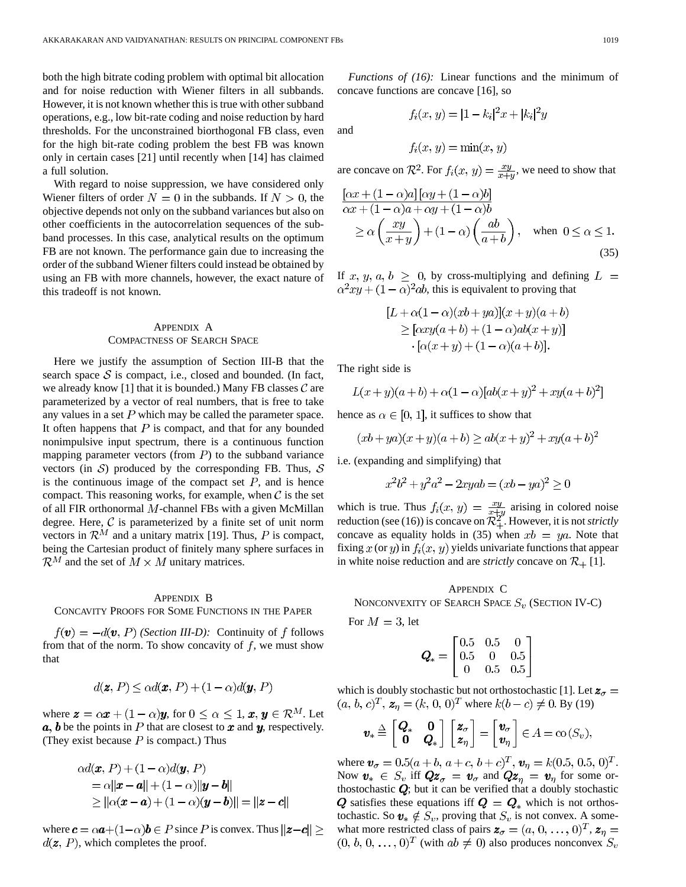both the high bitrate coding problem with optimal bit allocation and for noise reduction with Wiener filters in all subbands. However, it is not known whether this is true with other subband operations, e.g., low bit-rate coding and noise reduction by hard thresholds. For the unconstrained biorthogonal FB class, even for the high bit-rate coding problem the best FB was known only in certain cases [21] until recently when [14] has claimed a full solution.

With regard to noise suppression, we have considered only Wiener filters of order  $N = 0$  in the subbands. If  $N > 0$ , the objective depends not only on the subband variances but also on other coefficients in the autocorrelation sequences of the subband processes. In this case, analytical results on the optimum FB are not known. The performance gain due to increasing the order of the subband Wiener filters could instead be obtained by using an FB with more channels, however, the exact nature of this tradeoff is not known.

# APPENDIX A COMPACTNESS OF SEARCH SPACE

Here we justify the assumption of Section III-B that the search space  $S$  is compact, i.e., closed and bounded. (In fact, we already know [1] that it is bounded.) Many FB classes  $C$  are parameterized by a vector of real numbers, that is free to take any values in a set  $P$  which may be called the parameter space. It often happens that  $P$  is compact, and that for any bounded nonimpulsive input spectrum, there is a continuous function mapping parameter vectors (from  $P$ ) to the subband variance vectors (in  $S$ ) produced by the corresponding FB. Thus,  $S$ is the continuous image of the compact set  $P$ , and is hence compact. This reasoning works, for example, when  $\mathcal C$  is the set of all FIR orthonormal  $M$ -channel FBs with a given McMillan degree. Here,  $C$  is parameterized by a finite set of unit norm vectors in  $\mathcal{R}^M$  and a unitary matrix [19]. Thus, P is compact, being the Cartesian product of finitely many sphere surfaces in  $\mathcal{R}^M$  and the set of  $M \times M$  unitary matrices.

# APPENDIX B

CONCAVITY PROOFS FOR SOME FUNCTIONS IN THE PAPER

 $f(\mathbf{v}) = -d(\mathbf{v}, P)$  (*Section III-D*): Continuity of f follows from that of the norm. To show concavity of  $f$ , we must show that

$$
d(\mathbf{z}, P) \le \alpha d(\mathbf{x}, P) + (1 - \alpha)d(\mathbf{y}, P)
$$

where  $\mathbf{z} = \alpha \mathbf{x} + (1 - \alpha) \mathbf{y}$ , for  $0 \le \alpha \le 1$ ,  $\mathbf{x}, \mathbf{y} \in \mathcal{R}^M$ . Let  $a, b$  be the points in P that are closest to x and y, respectively. (They exist because  $P$  is compact.) Thus

$$
\alpha d(\mathbf{x}, P) + (1 - \alpha)d(\mathbf{y}, P)
$$
  
=  $\alpha ||\mathbf{x} - \mathbf{a}|| + (1 - \alpha)||\mathbf{y} - \mathbf{b}||$   
 $\ge ||\alpha(\mathbf{x} - \mathbf{a}) + (1 - \alpha)(\mathbf{y} - \mathbf{b})|| = ||\mathbf{z} - \mathbf{c}||$ 

where  $\mathbf{c} = \alpha \mathbf{a} + (1 - \alpha) \mathbf{b} \in P$  since P is convex. Thus  $||\mathbf{z} - \mathbf{c}|| \ge$  $d(z, P)$ , which completes the proof.

*Functions of (16):* Linear functions and the minimum of concave functions are concave [16], so

$$
f_i(x, y) = |1 - k_i|^2 x + |k_i|^2 y
$$

and

$$
f_i(x, y) = \min(x, y)
$$

are concave on  $\mathcal{R}^2$ . For  $f_i(x, y) = \frac{xy}{x+y}$ , we need to show that  $\sim$   $\sim$ 

$$
\frac{[\alpha x + (1 - \alpha)a][\alpha y + (1 - \alpha)b]}{\alpha x + (1 - \alpha)a + \alpha y + (1 - \alpha)b} \ge \alpha \left(\frac{xy}{x + y}\right) + (1 - \alpha) \left(\frac{ab}{a + b}\right), \text{ when } 0 \le \alpha \le 1.
$$
\n(35)

If  $x, y, a, b \ge 0$ , by cross-multiplying and defining  $L =$  $\alpha^2 xy + (1 - \alpha)^2 ab$ , this is equivalent to proving that

$$
[L + \alpha(1 - \alpha)(xb + ya)](x + y)(a + b)
$$
  
\n
$$
\geq [\alpha xy(a + b) + (1 - \alpha)ab(x + y)]
$$
  
\n
$$
\cdot [\alpha(x + y) + (1 - \alpha)(a + b)].
$$

The right side is

$$
L(x + y)(a + b) + \alpha(1 - \alpha)[ab(x + y)^{2} + xy(a + b)^{2}]
$$

hence as  $\alpha \in [0, 1]$ , it suffices to show that

$$
(xb+ya)(x+y)(a+b) \ge ab(x+y)^2 + xy(a+b)^2
$$

i.e. (expanding and simplifying) that

$$
x^{2}b^{2} + y^{2}a^{2} - 2xyab = (xb - ya)^{2} \ge 0
$$

which is true. Thus  $f_i(x, y) = \frac{xy}{x+y}$  arising in colored noise reduction (see (16)) is concave on  $\mathcal{R}_+^2$ . However, it is not *strictly* concave as equality holds in (35) when  $xb = ya$ . Note that fixing x (or y) in  $f_i(x, y)$  yields univariate functions that appear in white noise reduction and are *strictly* concave on  $\mathcal{R}_+$  [1].

# APPENDIX C

NONCONVEXITY OF SEARCH SPACE  $S_v$  (Section IV-C)

For  $M = 3$ , let

$$
\pmb{Q}_* = \begin{bmatrix} 0.5 & 0.5 & 0 \\ 0.5 & 0 & 0.5 \\ 0 & 0.5 & 0.5 \end{bmatrix}
$$

which is doubly stochastic but not orthostochastic [1]. Let  $z_{\sigma} =$  $(a, b, c)^T$ ,  $z_\eta = (k, 0, 0)^T$  where  $k(b - c) \neq 0$ . By (19)

$$
\boldsymbol{v}_{*} \stackrel{\Delta}{=} \begin{bmatrix} \boldsymbol{Q}_{*} & \boldsymbol{0} \\ \boldsymbol{0} & \boldsymbol{Q}_{*} \end{bmatrix} \begin{bmatrix} \boldsymbol{z}_{\sigma} \\ \boldsymbol{z}_{\eta} \end{bmatrix} = \begin{bmatrix} \boldsymbol{v}_{\sigma} \\ \boldsymbol{v}_{\eta} \end{bmatrix} \in A = \text{co}(S_{v}),
$$

where  $v_{\sigma} = 0.5(a+b, a+c, b+c)^{T}$ ,  $v_{\eta} = k(0.5, 0.5, 0)^{T}$ . Now  $v_* \in S_v$  iff  $Qz_\sigma = v_\sigma$  and  $Qz_\eta = v_\eta$  for some orthostochastic  $Q$ ; but it can be verified that a doubly stochastic Q satisfies these equations iff  $Q = Q_*$  which is not orthostochastic. So  $v_* \notin S_v$ , proving that  $S_v$  is not convex. A somewhat more restricted class of pairs  $\mathbf{z}_{\sigma} = (a, 0, \ldots, 0)^{T}$ ,  $\mathbf{z}_{\eta} =$  $(0, b, 0, \ldots, 0)^T$  (with  $ab \neq 0$ ) also produces nonconvex  $S_v$